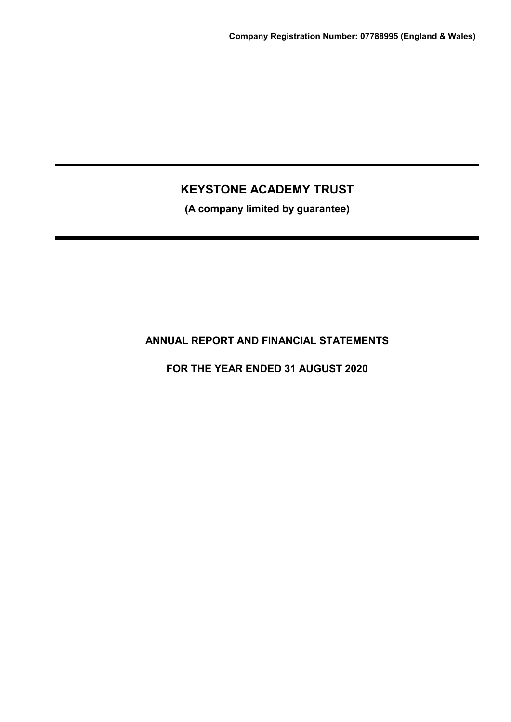**(A company limited by guarantee)**

## **ANNUAL REPORT AND FINANCIAL STATEMENTS**

**FOR THE YEAR ENDED 31 AUGUST 2020**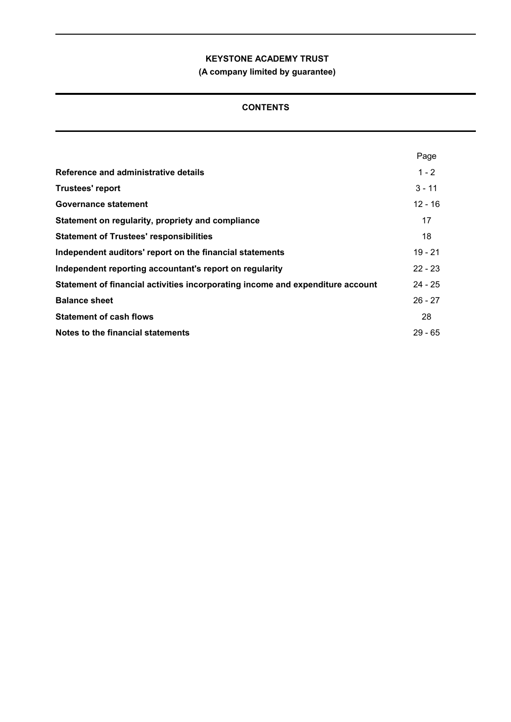**(A company limited by guarantee)**

## **CONTENTS**

|                                                                                | Page      |
|--------------------------------------------------------------------------------|-----------|
| Reference and administrative details                                           | $1 - 2$   |
| <b>Trustees' report</b>                                                        | $3 - 11$  |
| Governance statement                                                           | $12 - 16$ |
| Statement on regularity, propriety and compliance                              | 17        |
| <b>Statement of Trustees' responsibilities</b>                                 | 18        |
| Independent auditors' report on the financial statements                       | 19 - 21   |
| Independent reporting accountant's report on regularity                        | $22 - 23$ |
| Statement of financial activities incorporating income and expenditure account | $24 - 25$ |
| <b>Balance sheet</b>                                                           | $26 - 27$ |
| <b>Statement of cash flows</b>                                                 | 28        |
| Notes to the financial statements                                              | $29 - 65$ |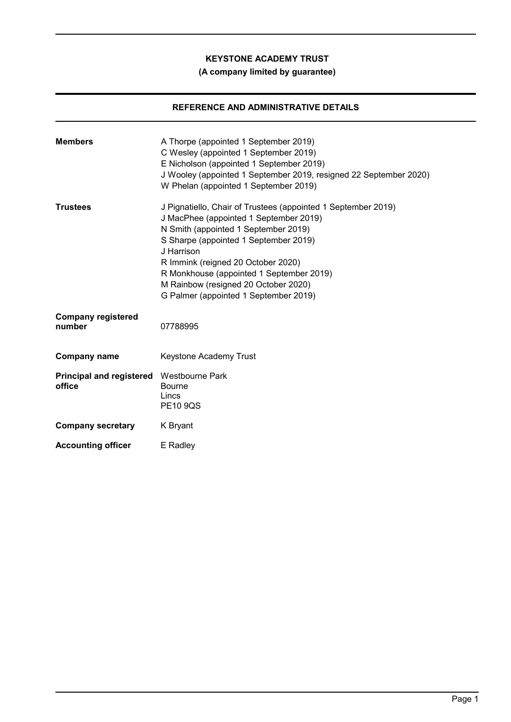## **(A company limited by guarantee)**

## **REFERENCE AND ADMINISTRATIVE DETAILS**

| <b>Members</b>                                     | A Thorpe (appointed 1 September 2019)<br>C Wesley (appointed 1 September 2019)<br>E Nicholson (appointed 1 September 2019)<br>J Wooley (appointed 1 September 2019, resigned 22 September 2020)<br>W Phelan (appointed 1 September 2019)                                                                                                                                  |
|----------------------------------------------------|---------------------------------------------------------------------------------------------------------------------------------------------------------------------------------------------------------------------------------------------------------------------------------------------------------------------------------------------------------------------------|
| <b>Trustees</b>                                    | J Pignatiello, Chair of Trustees (appointed 1 September 2019)<br>J MacPhee (appointed 1 September 2019)<br>N Smith (appointed 1 September 2019)<br>S Sharpe (appointed 1 September 2019)<br>J Harrison<br>R Immink (reigned 20 October 2020)<br>R Monkhouse (appointed 1 September 2019)<br>M Rainbow (resigned 20 October 2020)<br>G Palmer (appointed 1 September 2019) |
| <b>Company registered</b><br>number                | 07788995                                                                                                                                                                                                                                                                                                                                                                  |
| <b>Company name</b>                                | Keystone Academy Trust                                                                                                                                                                                                                                                                                                                                                    |
| Principal and registered Westbourne Park<br>office | <b>Bourne</b><br>Lincs<br><b>PE10 9QS</b>                                                                                                                                                                                                                                                                                                                                 |
| <b>Company secretary</b>                           | K Bryant                                                                                                                                                                                                                                                                                                                                                                  |
| <b>Accounting officer</b>                          | E Radley                                                                                                                                                                                                                                                                                                                                                                  |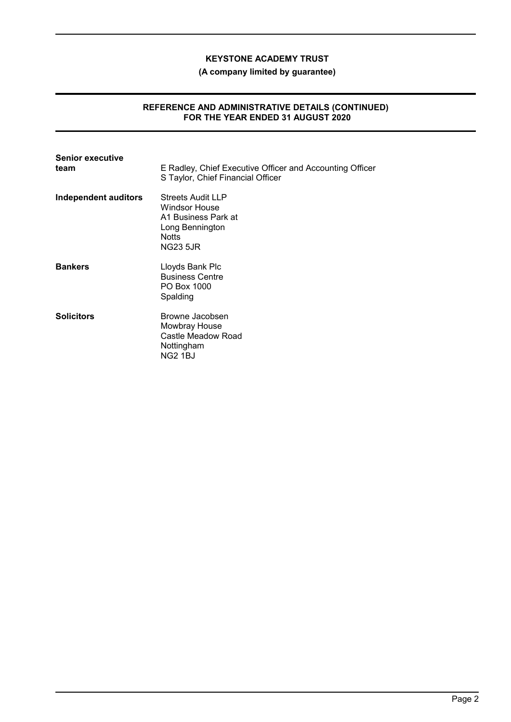**(A company limited by guarantee)**

#### **REFERENCE AND ADMINISTRATIVE DETAILS (CONTINUED) FOR THE YEAR ENDED 31 AUGUST 2020**

| <b>Senior executive</b><br>team | E Radley, Chief Executive Officer and Accounting Officer<br>S Taylor, Chief Financial Officer                   |
|---------------------------------|-----------------------------------------------------------------------------------------------------------------|
| Independent auditors            | Streets Audit LLP<br>Windsor House<br>A1 Business Park at<br>Long Bennington<br><b>Notts</b><br><b>NG23 5JR</b> |
| <b>Bankers</b>                  | Lloyds Bank Plc<br><b>Business Centre</b><br>PO Box 1000<br>Spalding                                            |
| <b>Solicitors</b>               | Browne Jacobsen<br>Mowbray House<br>Castle Meadow Road<br>Nottingham<br><b>NG2 1BJ</b>                          |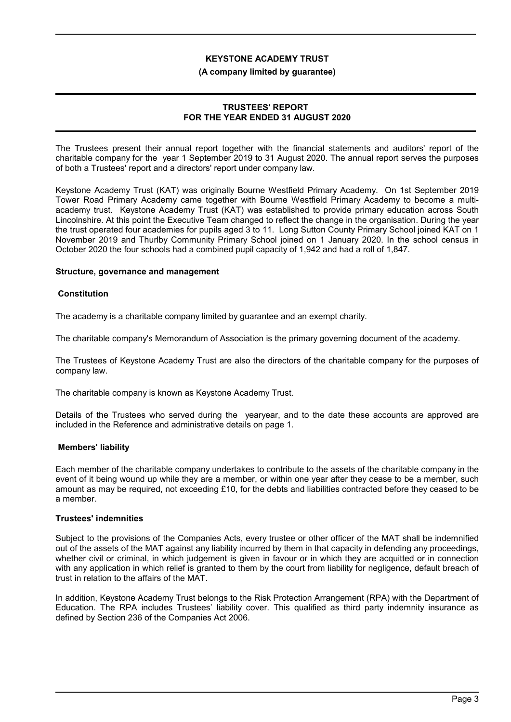#### **(A company limited by guarantee)**

### **TRUSTEES' REPORT FOR THE YEAR ENDED 31 AUGUST 2020**

The Trustees present their annual report together with the financial statements and auditors' report of the charitable company for the year 1 September 2019 to 31 August 2020. The annual report serves the purposes of both a Trustees' report and a directors' report under company law.

Keystone Academy Trust (KAT) was originally Bourne Westfield Primary Academy. On 1st September 2019 Tower Road Primary Academy came together with Bourne Westfield Primary Academy to become a multiacademy trust. Keystone Academy Trust (KAT) was established to provide primary education across South Lincolnshire. At this point the Executive Team changed to reflect the change in the organisation. During the year the trust operated four academies for pupils aged 3 to 11. Long Sutton County Primary School joined KAT on 1 November 2019 and Thurlby Community Primary School joined on 1 January 2020. In the school census in October 2020 the four schools had a combined pupil capacity of 1,942 and had a roll of 1,847.

#### **Structure, governance and management**

#### **Constitution**

The academy is a charitable company limited by guarantee and an exempt charity.

The charitable company's Memorandum of Association is the primary governing document of the academy.

The Trustees of Keystone Academy Trust are also the directors of the charitable company for the purposes of company law.

The charitable company is known as Keystone Academy Trust.

Details of the Trustees who served during the yearyear, and to the date these accounts are approved are included in the Reference and administrative details on page 1.

## **Members' liability**

Each member of the charitable company undertakes to contribute to the assets of the charitable company in the event of it being wound up while they are a member, or within one year after they cease to be a member, such amount as may be required, not exceeding £10, for the debts and liabilities contracted before they ceased to be a member.

#### **Trustees' indemnities**

Subject to the provisions of the Companies Acts, every trustee or other officer of the MAT shall be indemnified out of the assets of the MAT against any liability incurred by them in that capacity in defending any proceedings, whether civil or criminal, in which judgement is given in favour or in which they are acquitted or in connection with any application in which relief is granted to them by the court from liability for negligence, default breach of trust in relation to the affairs of the MAT.

In addition, Keystone Academy Trust belongs to the Risk Protection Arrangement (RPA) with the Department of Education. The RPA includes Trustees' liability cover. This qualified as third party indemnity insurance as defined by Section 236 of the Companies Act 2006.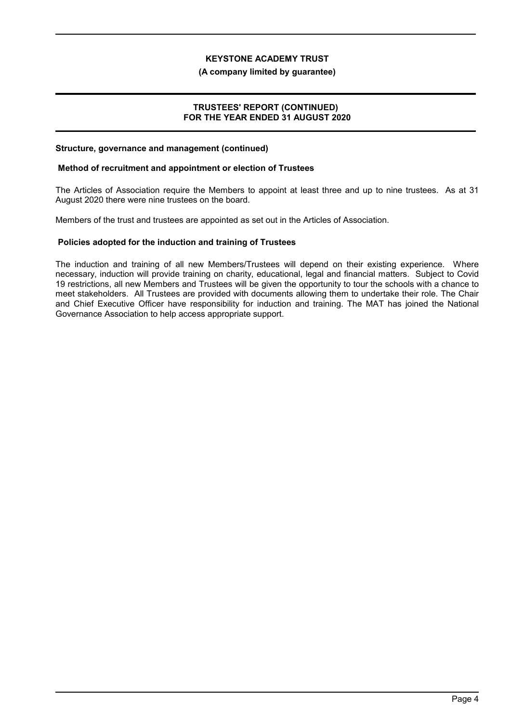#### **(A company limited by guarantee)**

#### **TRUSTEES' REPORT (CONTINUED) FOR THE YEAR ENDED 31 AUGUST 2020**

#### **Structure, governance and management (continued)**

#### **Method of recruitment and appointment or election of Trustees**

The Articles of Association require the Members to appoint at least three and up to nine trustees. As at 31 August 2020 there were nine trustees on the board.

Members of the trust and trustees are appointed as set out in the Articles of Association.

#### **Policies adopted for the induction and training of Trustees**

The induction and training of all new Members/Trustees will depend on their existing experience. Where necessary, induction will provide training on charity, educational, legal and financial matters. Subject to Covid 19 restrictions, all new Members and Trustees will be given the opportunity to tour the schools with a chance to meet stakeholders. All Trustees are provided with documents allowing them to undertake their role. The Chair and Chief Executive Officer have responsibility for induction and training. The MAT has joined the National Governance Association to help access appropriate support.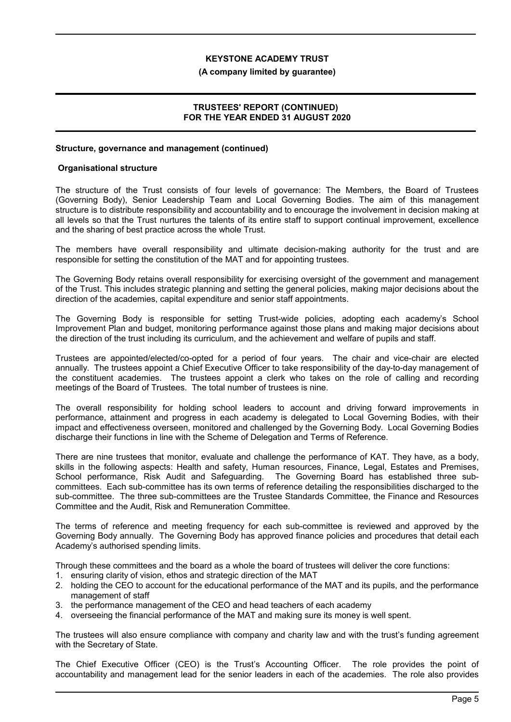#### **(A company limited by guarantee)**

### **TRUSTEES' REPORT (CONTINUED) FOR THE YEAR ENDED 31 AUGUST 2020**

#### **Structure, governance and management (continued)**

#### **Organisational structure**

The structure of the Trust consists of four levels of governance: The Members, the Board of Trustees (Governing Body), Senior Leadership Team and Local Governing Bodies. The aim of this management structure is to distribute responsibility and accountability and to encourage the involvement in decision making at all levels so that the Trust nurtures the talents of its entire staff to support continual improvement, excellence and the sharing of best practice across the whole Trust.

The members have overall responsibility and ultimate decision-making authority for the trust and are responsible for setting the constitution of the MAT and for appointing trustees.

The Governing Body retains overall responsibility for exercising oversight of the government and management of the Trust. This includes strategic planning and setting the general policies, making major decisions about the direction of the academies, capital expenditure and senior staff appointments.

The Governing Body is responsible for setting Trust-wide policies, adopting each academy's School Improvement Plan and budget, monitoring performance against those plans and making major decisions about the direction of the trust including its curriculum, and the achievement and welfare of pupils and staff.

Trustees are appointed/elected/co-opted for a period of four years. The chair and vice-chair are elected annually. The trustees appoint a Chief Executive Officer to take responsibility of the day-to-day management of the constituent academies. The trustees appoint a clerk who takes on the role of calling and recording meetings of the Board of Trustees. The total number of trustees is nine.

The overall responsibility for holding school leaders to account and driving forward improvements in performance, attainment and progress in each academy is delegated to Local Governing Bodies, with their impact and effectiveness overseen, monitored and challenged by the Governing Body. Local Governing Bodies discharge their functions in line with the Scheme of Delegation and Terms of Reference.

There are nine trustees that monitor, evaluate and challenge the performance of KAT. They have, as a body, skills in the following aspects: Health and safety, Human resources, Finance, Legal, Estates and Premises, School performance, Risk Audit and Safeguarding. The Governing Board has established three subcommittees. Each sub-committee has its own terms of reference detailing the responsibilities discharged to the sub-committee. The three sub-committees are the Trustee Standards Committee, the Finance and Resources Committee and the Audit, Risk and Remuneration Committee.

The terms of reference and meeting frequency for each sub-committee is reviewed and approved by the Governing Body annually. The Governing Body has approved finance policies and procedures that detail each Academy's authorised spending limits.

Through these committees and the board as a whole the board of trustees will deliver the core functions:

- 1. ensuring clarity of vision, ethos and strategic direction of the MAT
- 2. holding the CEO to account for the educational performance of the MAT and its pupils, and the performance management of staff
- 3. the performance management of the CEO and head teachers of each academy
- 4. overseeing the financial performance of the MAT and making sure its money is well spent.

The trustees will also ensure compliance with company and charity law and with the trust's funding agreement with the Secretary of State.

The Chief Executive Officer (CEO) is the Trust's Accounting Officer. The role provides the point of accountability and management lead for the senior leaders in each of the academies. The role also provides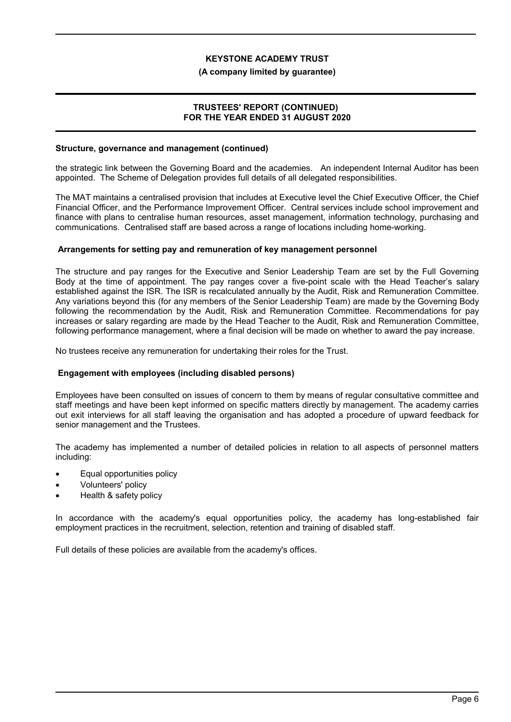#### **(A company limited by guarantee)**

#### **TRUSTEES' REPORT (CONTINUED) FOR THE YEAR ENDED 31 AUGUST 2020**

#### **Structure, governance and management (continued)**

the strategic link between the Governing Board and the academies. An independent Internal Auditor has been appointed. The Scheme of Delegation provides full details of all delegated responsibilities.

The MAT maintains a centralised provision that includes at Executive level the Chief Executive Officer, the Chief Financial Officer, and the Performance Improvement Officer. Central services include school improvement and finance with plans to centralise human resources, asset management, information technology, purchasing and communications. Centralised staff are based across a range of locations including home-working.

#### **Arrangements for setting pay and remuneration of key management personnel**

The structure and pay ranges for the Executive and Senior Leadership Team are set by the Full Governing Body at the time of appointment. The pay ranges cover a five-point scale with the Head Teacher's salary established against the ISR. The ISR is recalculated annually by the Audit, Risk and Remuneration Committee. Any variations beyond this (for any members of the Senior Leadership Team) are made by the Governing Body following the recommendation by the Audit, Risk and Remuneration Committee. Recommendations for pay increases or salary regarding are made by the Head Teacher to the Audit, Risk and Remuneration Committee, following performance management, where a final decision will be made on whether to award the pay increase.

No trustees receive any remuneration for undertaking their roles for the Trust.

## **Engagement with employees (including disabled persons)**

Employees have been consulted on issues of concern to them by means of regular consultative committee and staff meetings and have been kept informed on specific matters directly by management. The academy carries out exit interviews for all staff leaving the organisation and has adopted a procedure of upward feedback for senior management and the Trustees.

The academy has implemented a number of detailed policies in relation to all aspects of personnel matters including:

- Equal opportunities policy
- Volunteers' policy
- Health & safety policy

In accordance with the academy's equal opportunities policy, the academy has long-established fair employment practices in the recruitment, selection, retention and training of disabled staff.

Full details of these policies are available from the academy's offices.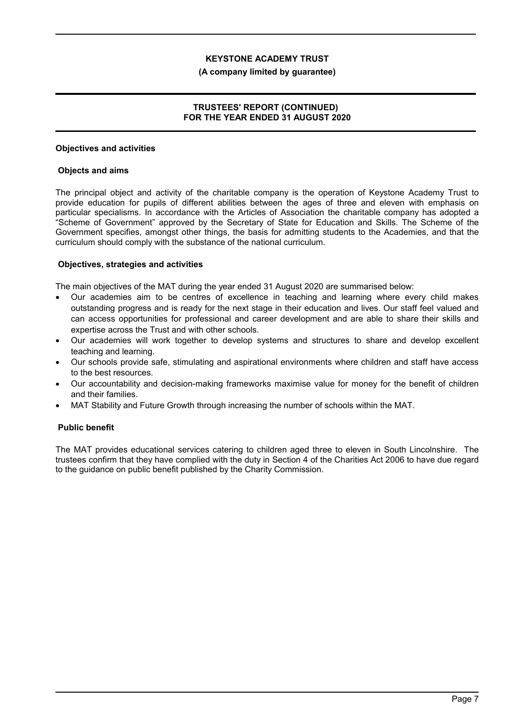#### **(A company limited by guarantee)**

## **TRUSTEES' REPORT (CONTINUED) FOR THE YEAR ENDED 31 AUGUST 2020**

#### **Objectives and activities**

#### **Objects and aims**

The principal object and activity of the charitable company is the operation of Keystone Academy Trust to provide education for pupils of different abilities between the ages of three and eleven with emphasis on particular specialisms. In accordance with the Articles of Association the charitable company has adopted a "Scheme of Government" approved by the Secretary of State for Education and Skills. The Scheme of the Government specifies, amongst other things, the basis for admitting students to the Academies, and that the curriculum should comply with the substance of the national curriculum.

#### **Objectives, strategies and activities**

The main objectives of the MAT during the year ended 31 August 2020 are summarised below:

- Our academies aim to be centres of excellence in teaching and learning where every child makes outstanding progress and is ready for the next stage in their education and lives. Our staff feel valued and can access opportunities for professional and career development and are able to share their skills and expertise across the Trust and with other schools.
- Our academies will work together to develop systems and structures to share and develop excellent teaching and learning.
- Our schools provide safe, stimulating and aspirational environments where children and staff have access to the best resources.
- Our accountability and decision-making frameworks maximise value for money for the benefit of children and their families.
- MAT Stability and Future Growth through increasing the number of schools within the MAT.

## **Public benefit**

The MAT provides educational services catering to children aged three to eleven in South Lincolnshire. The trustees confirm that they have complied with the duty in Section 4 of the Charities Act 2006 to have due regard to the guidance on public benefit published by the Charity Commission.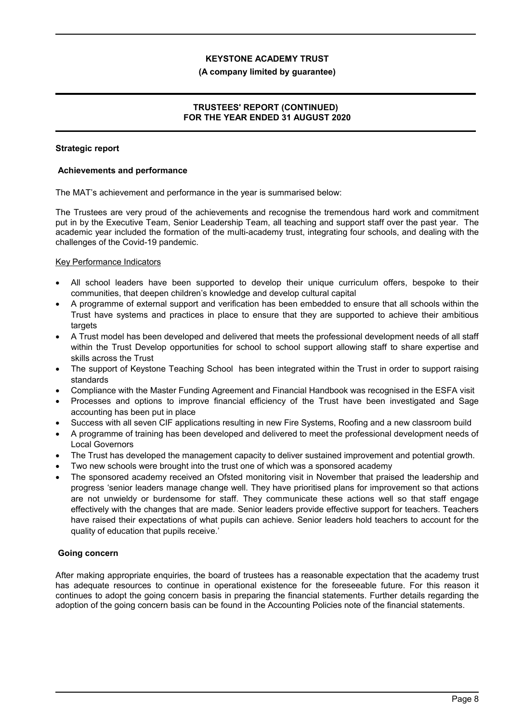#### **(A company limited by guarantee)**

## **TRUSTEES' REPORT (CONTINUED) FOR THE YEAR ENDED 31 AUGUST 2020**

#### **Strategic report**

#### **Achievements and performance**

The MAT's achievement and performance in the year is summarised below:

The Trustees are very proud of the achievements and recognise the tremendous hard work and commitment put in by the Executive Team, Senior Leadership Team, all teaching and support staff over the past year. The academic year included the formation of the multi-academy trust, integrating four schools, and dealing with the challenges of the Covid-19 pandemic.

#### Key Performance Indicators

- All school leaders have been supported to develop their unique curriculum offers, bespoke to their communities, that deepen children's knowledge and develop cultural capital
- A programme of external support and verification has been embedded to ensure that all schools within the Trust have systems and practices in place to ensure that they are supported to achieve their ambitious targets
- A Trust model has been developed and delivered that meets the professional development needs of all staff within the Trust Develop opportunities for school to school support allowing staff to share expertise and skills across the Trust
- The support of Keystone Teaching School has been integrated within the Trust in order to support raising standards
- Compliance with the Master Funding Agreement and Financial Handbook was recognised in the ESFA visit
- Processes and options to improve financial efficiency of the Trust have been investigated and Sage accounting has been put in place
- Success with all seven CIF applications resulting in new Fire Systems, Roofing and a new classroom build
- A programme of training has been developed and delivered to meet the professional development needs of Local Governors
- The Trust has developed the management capacity to deliver sustained improvement and potential growth.
- Two new schools were brought into the trust one of which was a sponsored academy
- The sponsored academy received an Ofsted monitoring visit in November that praised the leadership and progress 'senior leaders manage change well. They have prioritised plans for improvement so that actions are not unwieldy or burdensome for staff. They communicate these actions well so that staff engage effectively with the changes that are made. Senior leaders provide effective support for teachers. Teachers have raised their expectations of what pupils can achieve. Senior leaders hold teachers to account for the quality of education that pupils receive.'

## **Going concern**

After making appropriate enquiries, the board of trustees has a reasonable expectation that the academy trust has adequate resources to continue in operational existence for the foreseeable future. For this reason it continues to adopt the going concern basis in preparing the financial statements. Further details regarding the adoption of the going concern basis can be found in the Accounting Policies note of the financial statements.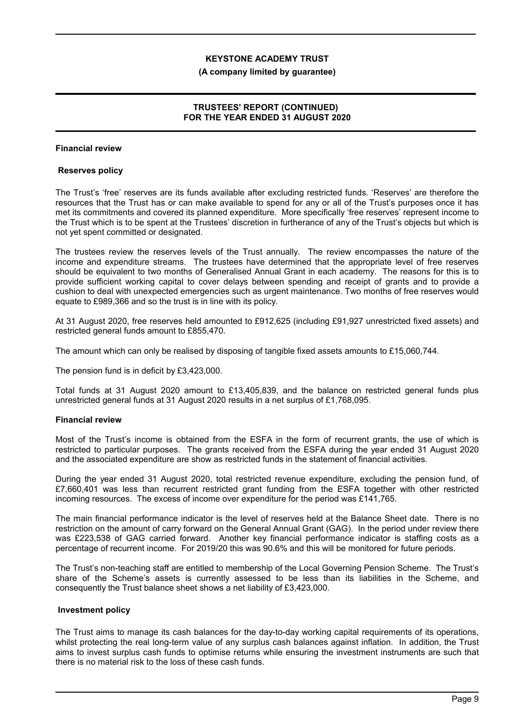#### **(A company limited by guarantee)**

## **TRUSTEES' REPORT (CONTINUED) FOR THE YEAR ENDED 31 AUGUST 2020**

### **Financial review**

#### **Reserves policy**

The Trust's 'free' reserves are its funds available after excluding restricted funds. 'Reserves' are therefore the resources that the Trust has or can make available to spend for any or all of the Trust's purposes once it has met its commitments and covered its planned expenditure. More specifically 'free reserves' represent income to the Trust which is to be spent at the Trustees' discretion in furtherance of any of the Trust's objects but which is not yet spent committed or designated.

The trustees review the reserves levels of the Trust annually. The review encompasses the nature of the income and expenditure streams. The trustees have determined that the appropriate level of free reserves should be equivalent to two months of Generalised Annual Grant in each academy. The reasons for this is to provide sufficient working capital to cover delays between spending and receipt of grants and to provide a cushion to deal with unexpected emergencies such as urgent maintenance. Two months of free reserves would equate to £989,366 and so the trust is in line with its policy.

At 31 August 2020, free reserves held amounted to £912,625 (including £91,927 unrestricted fixed assets) and restricted general funds amount to £855,470.

The amount which can only be realised by disposing of tangible fixed assets amounts to £15,060,744.

The pension fund is in deficit by £3,423,000.

Total funds at 31 August 2020 amount to £13,405,839, and the balance on restricted general funds plus unrestricted general funds at 31 August 2020 results in a net surplus of £1,768,095.

#### **Financial review**

Most of the Trust's income is obtained from the ESFA in the form of recurrent grants, the use of which is restricted to particular purposes. The grants received from the ESFA during the year ended 31 August 2020 and the associated expenditure are show as restricted funds in the statement of financial activities.

During the year ended 31 August 2020, total restricted revenue expenditure, excluding the pension fund, of £7,660,401 was less than recurrent restricted grant funding from the ESFA together with other restricted incoming resources. The excess of income over expenditure for the period was £141,765.

The main financial performance indicator is the level of reserves held at the Balance Sheet date. There is no restriction on the amount of carry forward on the General Annual Grant (GAG). In the period under review there was £223,538 of GAG carried forward. Another key financial performance indicator is staffing costs as a percentage of recurrent income. For 2019/20 this was 90.6% and this will be monitored for future periods.

The Trust's non-teaching staff are entitled to membership of the Local Governing Pension Scheme. The Trust's share of the Scheme's assets is currently assessed to be less than its liabilities in the Scheme, and consequently the Trust balance sheet shows a net liability of £3,423,000.

#### **Investment policy**

The Trust aims to manage its cash balances for the day-to-day working capital requirements of its operations, whilst protecting the real long-term value of any surplus cash balances against inflation. In addition, the Trust aims to invest surplus cash funds to optimise returns while ensuring the investment instruments are such that there is no material risk to the loss of these cash funds.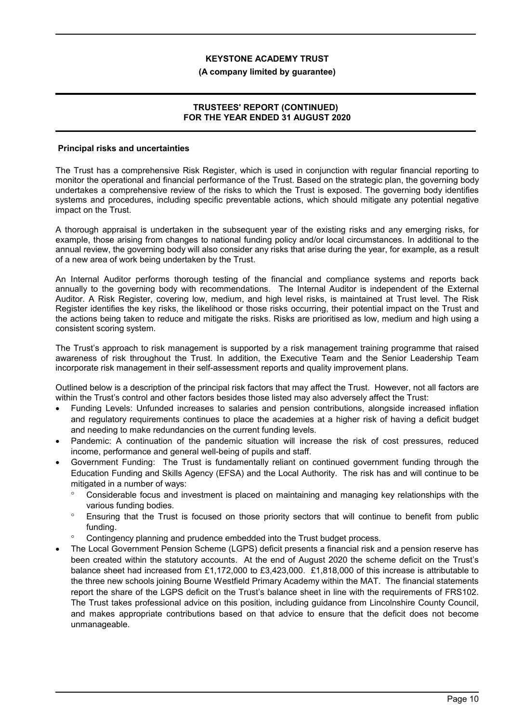#### **(A company limited by guarantee)**

#### **TRUSTEES' REPORT (CONTINUED) FOR THE YEAR ENDED 31 AUGUST 2020**

#### **Principal risks and uncertainties**

The Trust has a comprehensive Risk Register, which is used in conjunction with regular financial reporting to monitor the operational and financial performance of the Trust. Based on the strategic plan, the governing body undertakes a comprehensive review of the risks to which the Trust is exposed. The governing body identifies systems and procedures, including specific preventable actions, which should mitigate any potential negative impact on the Trust.

A thorough appraisal is undertaken in the subsequent year of the existing risks and any emerging risks, for example, those arising from changes to national funding policy and/or local circumstances. In additional to the annual review, the governing body will also consider any risks that arise during the year, for example, as a result of a new area of work being undertaken by the Trust.

An Internal Auditor performs thorough testing of the financial and compliance systems and reports back annually to the governing body with recommendations. The Internal Auditor is independent of the External Auditor. A Risk Register, covering low, medium, and high level risks, is maintained at Trust level. The Risk Register identifies the key risks, the likelihood or those risks occurring, their potential impact on the Trust and the actions being taken to reduce and mitigate the risks. Risks are prioritised as low, medium and high using a consistent scoring system.

The Trust's approach to risk management is supported by a risk management training programme that raised awareness of risk throughout the Trust. In addition, the Executive Team and the Senior Leadership Team incorporate risk management in their self-assessment reports and quality improvement plans.

Outlined below is a description of the principal risk factors that may affect the Trust. However, not all factors are within the Trust's control and other factors besides those listed may also adversely affect the Trust:

- Funding Levels: Unfunded increases to salaries and pension contributions, alongside increased inflation and regulatory requirements continues to place the academies at a higher risk of having a deficit budget and needing to make redundancies on the current funding levels.
- Pandemic: A continuation of the pandemic situation will increase the risk of cost pressures, reduced income, performance and general well-being of pupils and staff.
- Government Funding: The Trust is fundamentally reliant on continued government funding through the Education Funding and Skills Agency (EFSA) and the Local Authority. The risk has and will continue to be mitigated in a number of ways:
	- Considerable focus and investment is placed on maintaining and managing key relationships with the various funding bodies.
	- Ensuring that the Trust is focused on those priority sectors that will continue to benefit from public funding.
	- Contingency planning and prudence embedded into the Trust budget process.
- The Local Government Pension Scheme (LGPS) deficit presents a financial risk and a pension reserve has been created within the statutory accounts. At the end of August 2020 the scheme deficit on the Trust's balance sheet had increased from £1,172,000 to £3,423,000. £1,818,000 of this increase is attributable to the three new schools joining Bourne Westfield Primary Academy within the MAT. The financial statements report the share of the LGPS deficit on the Trust's balance sheet in line with the requirements of FRS102. The Trust takes professional advice on this position, including guidance from Lincolnshire County Council, and makes appropriate contributions based on that advice to ensure that the deficit does not become unmanageable.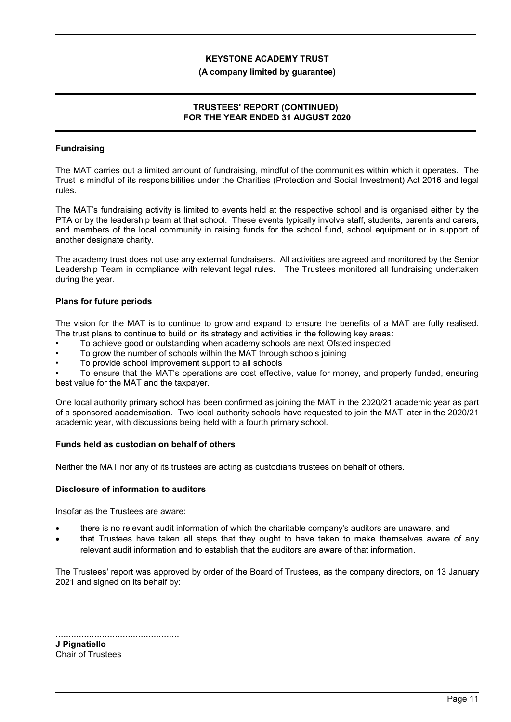#### **(A company limited by guarantee)**

### **TRUSTEES' REPORT (CONTINUED) FOR THE YEAR ENDED 31 AUGUST 2020**

## **Fundraising**

The MAT carries out a limited amount of fundraising, mindful of the communities within which it operates. The Trust is mindful of its responsibilities under the Charities (Protection and Social Investment) Act 2016 and legal rules.

The MAT's fundraising activity is limited to events held at the respective school and is organised either by the PTA or by the leadership team at that school. These events typically involve staff, students, parents and carers, and members of the local community in raising funds for the school fund, school equipment or in support of another designate charity.

The academy trust does not use any external fundraisers. All activities are agreed and monitored by the Senior Leadership Team in compliance with relevant legal rules. The Trustees monitored all fundraising undertaken during the year.

#### **Plans for future periods**

The vision for the MAT is to continue to grow and expand to ensure the benefits of a MAT are fully realised. The trust plans to continue to build on its strategy and activities in the following key areas:

- To achieve good or outstanding when academy schools are next Ofsted inspected
- To grow the number of schools within the MAT through schools joining
- To provide school improvement support to all schools

• To ensure that the MAT's operations are cost effective, value for money, and properly funded, ensuring best value for the MAT and the taxpayer.

One local authority primary school has been confirmed as joining the MAT in the 2020/21 academic year as part of a sponsored academisation. Two local authority schools have requested to join the MAT later in the 2020/21 academic year, with discussions being held with a fourth primary school.

#### **Funds held as custodian on behalf of others**

Neither the MAT nor any of its trustees are acting as custodians trustees on behalf of others.

#### **Disclosure of information to auditors**

Insofar as the Trustees are aware:

- there is no relevant audit information of which the charitable company's auditors are unaware, and
- that Trustees have taken all steps that they ought to have taken to make themselves aware of any relevant audit information and to establish that the auditors are aware of that information.

The Trustees' report was approved by order of the Board of Trustees, as the company directors, on 13 January 2021 and signed on its behalf by:

| J Pignatiello            |  |
|--------------------------|--|
| <b>Chair of Trustees</b> |  |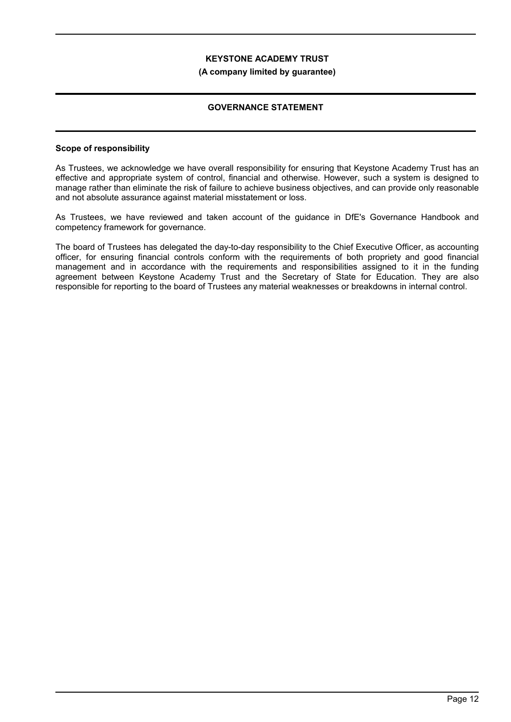#### **(A company limited by guarantee)**

## **GOVERNANCE STATEMENT**

#### **Scope of responsibility**

As Trustees, we acknowledge we have overall responsibility for ensuring that Keystone Academy Trust has an effective and appropriate system of control, financial and otherwise. However, such a system is designed to manage rather than eliminate the risk of failure to achieve business objectives, and can provide only reasonable and not absolute assurance against material misstatement or loss.

As Trustees, we have reviewed and taken account of the guidance in DfE's Governance Handbook and competency framework for governance.

The board of Trustees has delegated the day-to-day responsibility to the Chief Executive Officer, as accounting officer, for ensuring financial controls conform with the requirements of both propriety and good financial management and in accordance with the requirements and responsibilities assigned to it in the funding agreement between Keystone Academy Trust and the Secretary of State for Education. They are also responsible for reporting to the board of Trustees any material weaknesses or breakdowns in internal control.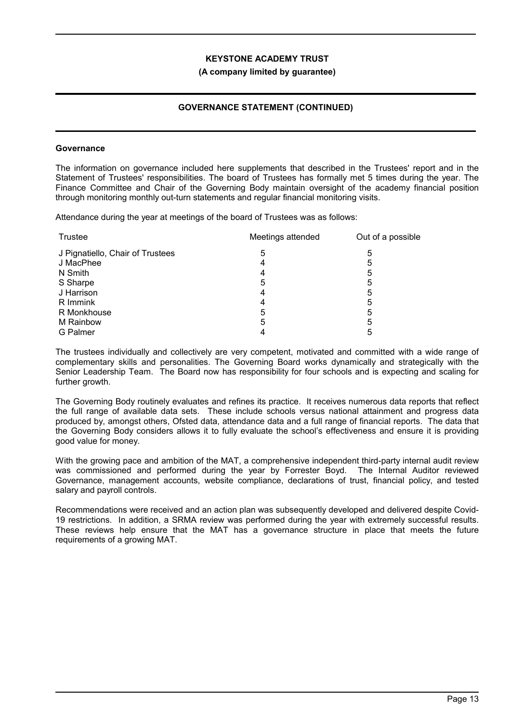#### **(A company limited by guarantee)**

## **GOVERNANCE STATEMENT (CONTINUED)**

#### **Governance**

The information on governance included here supplements that described in the Trustees' report and in the Statement of Trustees' responsibilities. The board of Trustees has formally met 5 times during the year. The Finance Committee and Chair of the Governing Body maintain oversight of the academy financial position through monitoring monthly out-turn statements and regular financial monitoring visits.

Attendance during the year at meetings of the board of Trustees was as follows:

| Trustee                          | Meetings attended | Out of a possible |
|----------------------------------|-------------------|-------------------|
| J Pignatiello, Chair of Trustees | 5                 | 5                 |
| J MacPhee                        |                   | 5                 |
| N Smith                          |                   | 5                 |
| S Sharpe                         | 5                 | 5                 |
| J Harrison                       |                   | 5                 |
| R Immink                         |                   | 5                 |
| R Monkhouse                      | 5                 | 5                 |
| M Rainbow                        | 5                 | 5                 |
| <b>G</b> Palmer                  |                   | 5                 |

The trustees individually and collectively are very competent, motivated and committed with a wide range of complementary skills and personalities. The Governing Board works dynamically and strategically with the Senior Leadership Team. The Board now has responsibility for four schools and is expecting and scaling for further growth.

The Governing Body routinely evaluates and refines its practice. It receives numerous data reports that reflect the full range of available data sets. These include schools versus national attainment and progress data produced by, amongst others, Ofsted data, attendance data and a full range of financial reports. The data that the Governing Body considers allows it to fully evaluate the school's effectiveness and ensure it is providing good value for money.

With the growing pace and ambition of the MAT, a comprehensive independent third-party internal audit review was commissioned and performed during the year by Forrester Boyd. The Internal Auditor reviewed Governance, management accounts, website compliance, declarations of trust, financial policy, and tested salary and payroll controls.

Recommendations were received and an action plan was subsequently developed and delivered despite Covid-19 restrictions. In addition, a SRMA review was performed during the year with extremely successful results. These reviews help ensure that the MAT has a governance structure in place that meets the future requirements of a growing MAT.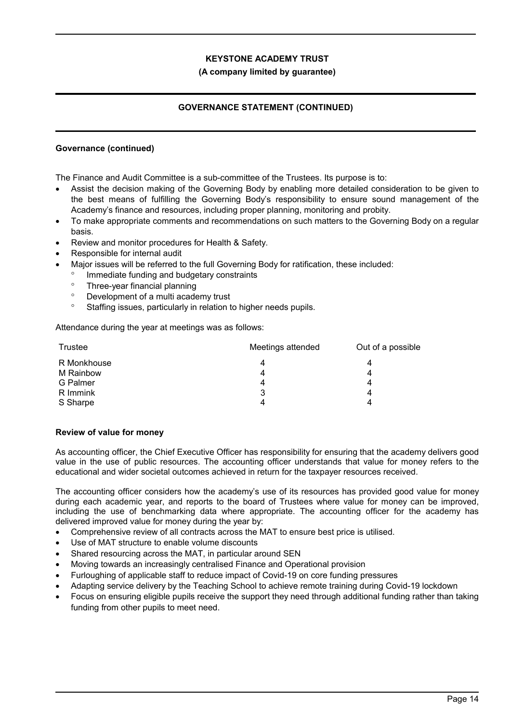## **(A company limited by guarantee)**

## **GOVERNANCE STATEMENT (CONTINUED)**

## **Governance (continued)**

The Finance and Audit Committee is a sub-committee of the Trustees. Its purpose is to:

- Assist the decision making of the Governing Body by enabling more detailed consideration to be given to the best means of fulfilling the Governing Body's responsibility to ensure sound management of the Academy's finance and resources, including proper planning, monitoring and probity.
- To make appropriate comments and recommendations on such matters to the Governing Body on a regular basis.
- Review and monitor procedures for Health & Safety.
- Responsible for internal audit
- Major issues will be referred to the full Governing Body for ratification, these included:
	- Immediate funding and budgetary constraints
	- Three-year financial planning
	- Development of a multi academy trust
	- <sup>o</sup> Staffing issues, particularly in relation to higher needs pupils.

Attendance during the year at meetings was as follows:

| Trustee     | Meetings attended | Out of a possible |
|-------------|-------------------|-------------------|
| R Monkhouse | 4                 |                   |
| M Rainbow   | 4                 |                   |
| G Palmer    | 4                 |                   |
| R Immink    | 3                 | 4                 |
| S Sharpe    | Δ                 |                   |

#### **Review of value for money**

As accounting officer, the Chief Executive Officer has responsibility for ensuring that the academy delivers good value in the use of public resources. The accounting officer understands that value for money refers to the educational and wider societal outcomes achieved in return for the taxpayer resources received.

The accounting officer considers how the academy's use of its resources has provided good value for money during each academic year, and reports to the board of Trustees where value for money can be improved, including the use of benchmarking data where appropriate. The accounting officer for the academy has delivered improved value for money during the year by:

- Comprehensive review of all contracts across the MAT to ensure best price is utilised.
- Use of MAT structure to enable volume discounts
- Shared resourcing across the MAT, in particular around SEN
- Moving towards an increasingly centralised Finance and Operational provision
- Furloughing of applicable staff to reduce impact of Covid-19 on core funding pressures
- Adapting service delivery by the Teaching School to achieve remote training during Covid-19 lockdown
- Focus on ensuring eligible pupils receive the support they need through additional funding rather than taking funding from other pupils to meet need.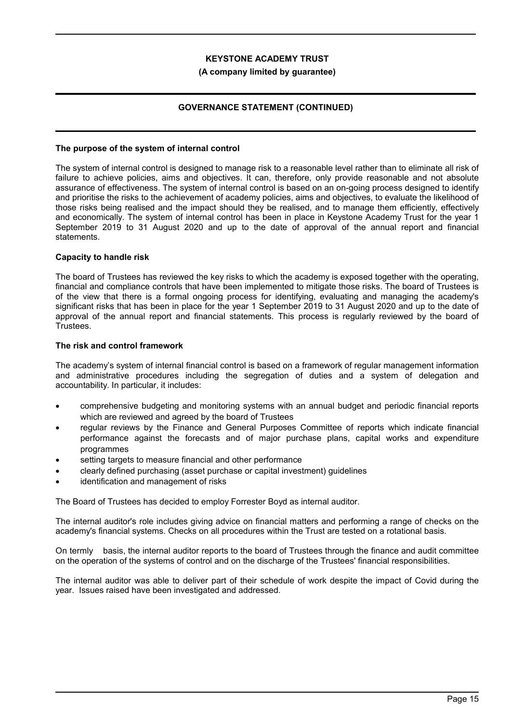#### **(A company limited by guarantee)**

## **GOVERNANCE STATEMENT (CONTINUED)**

#### **The purpose of the system of internal control**

The system of internal control is designed to manage risk to a reasonable level rather than to eliminate all risk of failure to achieve policies, aims and objectives. It can, therefore, only provide reasonable and not absolute assurance of effectiveness. The system of internal control is based on an on-going process designed to identify and prioritise the risks to the achievement of academy policies, aims and objectives, to evaluate the likelihood of those risks being realised and the impact should they be realised, and to manage them efficiently, effectively and economically. The system of internal control has been in place in Keystone Academy Trust for the year 1 September 2019 to 31 August 2020 and up to the date of approval of the annual report and financial statements.

#### **Capacity to handle risk**

The board of Trustees has reviewed the key risks to which the academy is exposed together with the operating, financial and compliance controls that have been implemented to mitigate those risks. The board of Trustees is of the view that there is a formal ongoing process for identifying, evaluating and managing the academy's significant risks that has been in place for the year 1 September 2019 to 31 August 2020 and up to the date of approval of the annual report and financial statements. This process is regularly reviewed by the board of Trustees.

#### **The risk and control framework**

The academy's system of internal financial control is based on a framework of regular management information and administrative procedures including the segregation of duties and a system of delegation and accountability. In particular, it includes:

- comprehensive budgeting and monitoring systems with an annual budget and periodic financial reports which are reviewed and agreed by the board of Trustees
- regular reviews by the Finance and General Purposes Committee of reports which indicate financial performance against the forecasts and of major purchase plans, capital works and expenditure programmes
- setting targets to measure financial and other performance
- clearly defined purchasing (asset purchase or capital investment) guidelines
- identification and management of risks

The Board of Trustees has decided to employ Forrester Boyd as internal auditor.

The internal auditor's role includes giving advice on financial matters and performing a range of checks on the academy's financial systems. Checks on all procedures within the Trust are tested on a rotational basis.

On termly basis, the internal auditor reports to the board of Trustees through the finance and audit committee on the operation of the systems of control and on the discharge of the Trustees' financial responsibilities.

The internal auditor was able to deliver part of their schedule of work despite the impact of Covid during the year. Issues raised have been investigated and addressed.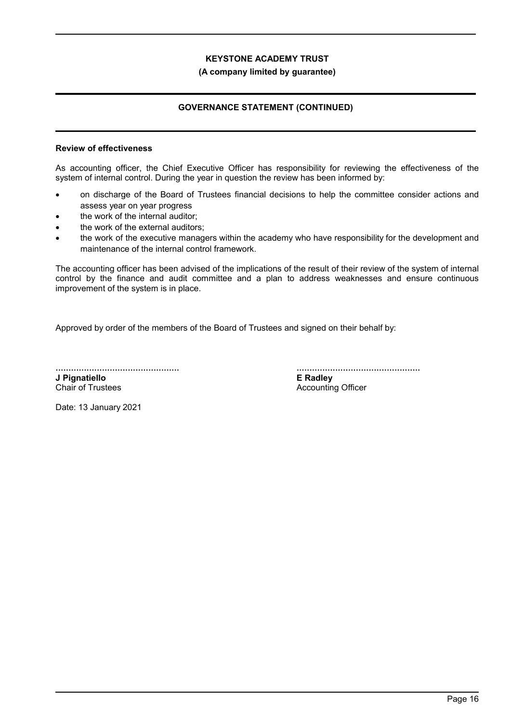#### **(A company limited by guarantee)**

## **GOVERNANCE STATEMENT (CONTINUED)**

#### **Review of effectiveness**

As accounting officer, the Chief Executive Officer has responsibility for reviewing the effectiveness of the system of internal control. During the year in question the review has been informed by:

- on discharge of the Board of Trustees financial decisions to help the committee consider actions and assess year on year progress
- the work of the internal auditor;
- the work of the external auditors;
- the work of the executive managers within the academy who have responsibility for the development and maintenance of the internal control framework.

The accounting officer has been advised of the implications of the result of their review of the system of internal control by the finance and audit committee and a plan to address weaknesses and ensure continuous improvement of the system is in place.

Approved by order of the members of the Board of Trustees and signed on their behalf by:

................................................ **J Pignatiello** Chair of Trustees

................................................ **E Radley**

Accounting Officer

Date: 13 January 2021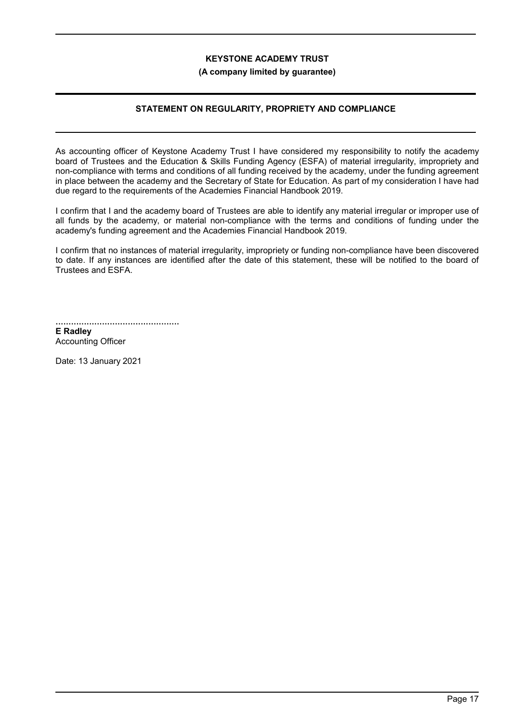#### **(A company limited by guarantee)**

## **STATEMENT ON REGULARITY, PROPRIETY AND COMPLIANCE**

As accounting officer of Keystone Academy Trust I have considered my responsibility to notify the academy board of Trustees and the Education & Skills Funding Agency (ESFA) of material irregularity, impropriety and non-compliance with terms and conditions of all funding received by the academy, under the funding agreement in place between the academy and the Secretary of State for Education. As part of my consideration I have had due regard to the requirements of the Academies Financial Handbook 2019.

I confirm that I and the academy board of Trustees are able to identify any material irregular or improper use of all funds by the academy, or material non-compliance with the terms and conditions of funding under the academy's funding agreement and the Academies Financial Handbook 2019.

I confirm that no instances of material irregularity, impropriety or funding non-compliance have been discovered to date. If any instances are identified after the date of this statement, these will be notified to the board of Trustees and ESFA.

................................................ **E Radley** Accounting Officer

Date: 13 January 2021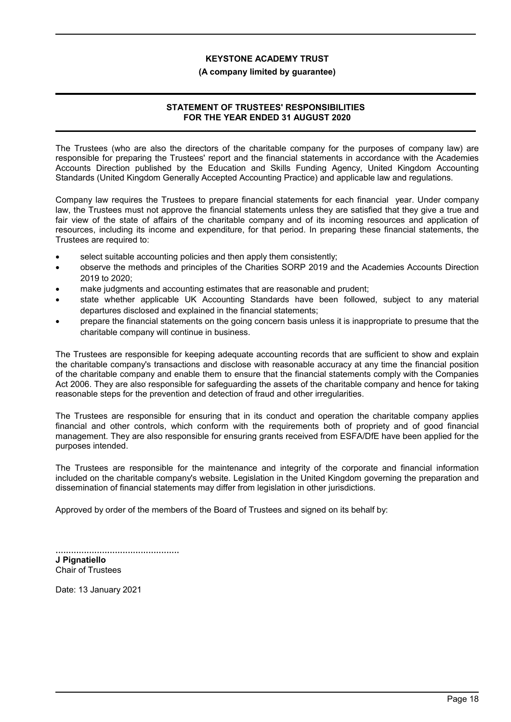#### **(A company limited by guarantee)**

## **STATEMENT OF TRUSTEES' RESPONSIBILITIES FOR THE YEAR ENDED 31 AUGUST 2020**

The Trustees (who are also the directors of the charitable company for the purposes of company law) are responsible for preparing the Trustees' report and the financial statements in accordance with the Academies Accounts Direction published by the Education and Skills Funding Agency, United Kingdom Accounting Standards (United Kingdom Generally Accepted Accounting Practice) and applicable law and regulations.

Company law requires the Trustees to prepare financial statements for each financial year. Under company law, the Trustees must not approve the financial statements unless they are satisfied that they give a true and fair view of the state of affairs of the charitable company and of its incoming resources and application of resources, including its income and expenditure, for that period. In preparing these financial statements, the Trustees are required to:

- select suitable accounting policies and then apply them consistently;
- observe the methods and principles of the Charities SORP 2019 and the Academies Accounts Direction 2019 to 2020;
- make judgments and accounting estimates that are reasonable and prudent;
- state whether applicable UK Accounting Standards have been followed, subject to any material departures disclosed and explained in the financial statements;
- prepare the financial statements on the going concern basis unless it is inappropriate to presume that the charitable company will continue in business.

The Trustees are responsible for keeping adequate accounting records that are sufficient to show and explain the charitable company's transactions and disclose with reasonable accuracy at any time the financial position of the charitable company and enable them to ensure that the financial statements comply with the Companies Act 2006. They are also responsible for safeguarding the assets of the charitable company and hence for taking reasonable steps for the prevention and detection of fraud and other irregularities.

The Trustees are responsible for ensuring that in its conduct and operation the charitable company applies financial and other controls, which conform with the requirements both of propriety and of good financial management. They are also responsible for ensuring grants received from ESFA/DfE have been applied for the purposes intended.

The Trustees are responsible for the maintenance and integrity of the corporate and financial information included on the charitable company's website. Legislation in the United Kingdom governing the preparation and dissemination of financial statements may differ from legislation in other jurisdictions.

Approved by order of the members of the Board of Trustees and signed on its behalf by:

................................................

**J Pignatiello** Chair of Trustees

Date: 13 January 2021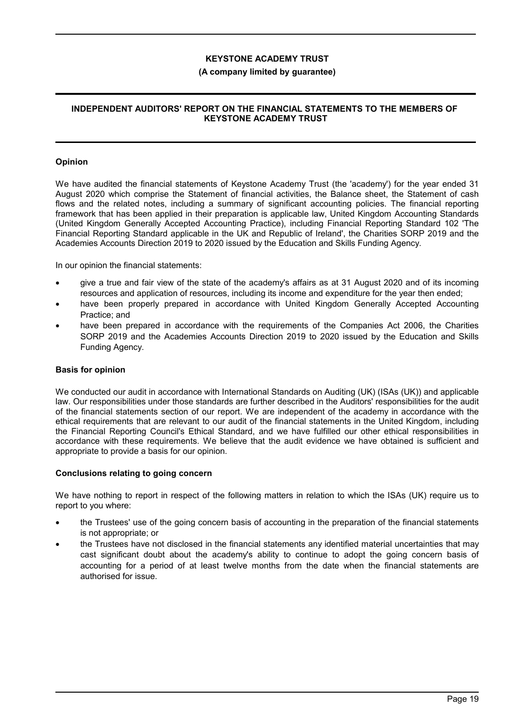#### **(A company limited by guarantee)**

### **INDEPENDENT AUDITORS' REPORT ON THE FINANCIAL STATEMENTS TO THE MEMBERS OF KEYSTONE ACADEMY TRUST**

#### **Opinion**

We have audited the financial statements of Keystone Academy Trust (the 'academy') for the year ended 31 August 2020 which comprise the Statement of financial activities, the Balance sheet, the Statement of cash flows and the related notes, including a summary of significant accounting policies. The financial reporting framework that has been applied in their preparation is applicable law, United Kingdom Accounting Standards (United Kingdom Generally Accepted Accounting Practice), including Financial Reporting Standard 102 'The Financial Reporting Standard applicable in the UK and Republic of Ireland', the Charities SORP 2019 and the Academies Accounts Direction 2019 to 2020 issued by the Education and Skills Funding Agency.

In our opinion the financial statements:

- give a true and fair view of the state of the academy's affairs as at 31 August 2020 and of its incoming resources and application of resources, including its income and expenditure for the year then ended;
- have been properly prepared in accordance with United Kingdom Generally Accepted Accounting Practice; and
- have been prepared in accordance with the requirements of the Companies Act 2006, the Charities SORP 2019 and the Academies Accounts Direction 2019 to 2020 issued by the Education and Skills Funding Agency.

#### **Basis for opinion**

We conducted our audit in accordance with International Standards on Auditing (UK) (ISAs (UK)) and applicable law. Our responsibilities under those standards are further described in the Auditors' responsibilities for the audit of the financial statements section of our report. We are independent of the academy in accordance with the ethical requirements that are relevant to our audit of the financial statements in the United Kingdom, including the Financial Reporting Council's Ethical Standard, and we have fulfilled our other ethical responsibilities in accordance with these requirements. We believe that the audit evidence we have obtained is sufficient and appropriate to provide a basis for our opinion.

#### **Conclusions relating to going concern**

We have nothing to report in respect of the following matters in relation to which the ISAs (UK) require us to report to you where:

- the Trustees' use of the going concern basis of accounting in the preparation of the financial statements is not appropriate; or
- the Trustees have not disclosed in the financial statements any identified material uncertainties that may cast significant doubt about the academy's ability to continue to adopt the going concern basis of accounting for a period of at least twelve months from the date when the financial statements are authorised for issue.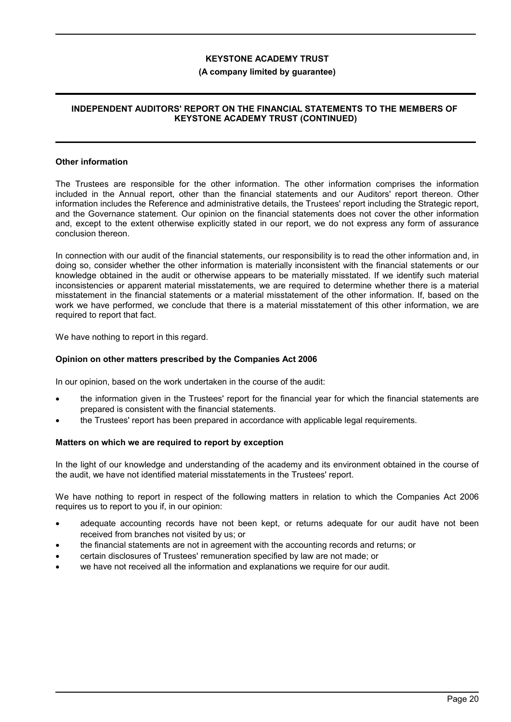#### **(A company limited by guarantee)**

### **INDEPENDENT AUDITORS' REPORT ON THE FINANCIAL STATEMENTS TO THE MEMBERS OF KEYSTONE ACADEMY TRUST (CONTINUED)**

#### **Other information**

The Trustees are responsible for the other information. The other information comprises the information included in the Annual report, other than the financial statements and our Auditors' report thereon. Other information includes the Reference and administrative details, the Trustees' report including the Strategic report, and the Governance statement. Our opinion on the financial statements does not cover the other information and, except to the extent otherwise explicitly stated in our report, we do not express any form of assurance conclusion thereon.

In connection with our audit of the financial statements, our responsibility is to read the other information and, in doing so, consider whether the other information is materially inconsistent with the financial statements or our knowledge obtained in the audit or otherwise appears to be materially misstated. If we identify such material inconsistencies or apparent material misstatements, we are required to determine whether there is a material misstatement in the financial statements or a material misstatement of the other information. If, based on the work we have performed, we conclude that there is a material misstatement of this other information, we are required to report that fact.

We have nothing to report in this regard.

#### **Opinion on other matters prescribed by the Companies Act 2006**

In our opinion, based on the work undertaken in the course of the audit:

- the information given in the Trustees' report for the financial year for which the financial statements are prepared is consistent with the financial statements.
- the Trustees' report has been prepared in accordance with applicable legal requirements.

#### **Matters on which we are required to report by exception**

In the light of our knowledge and understanding of the academy and its environment obtained in the course of the audit, we have not identified material misstatements in the Trustees' report.

We have nothing to report in respect of the following matters in relation to which the Companies Act 2006 requires us to report to you if, in our opinion:

- adequate accounting records have not been kept, or returns adequate for our audit have not been received from branches not visited by us; or
- the financial statements are not in agreement with the accounting records and returns; or
- certain disclosures of Trustees' remuneration specified by law are not made; or
- we have not received all the information and explanations we require for our audit.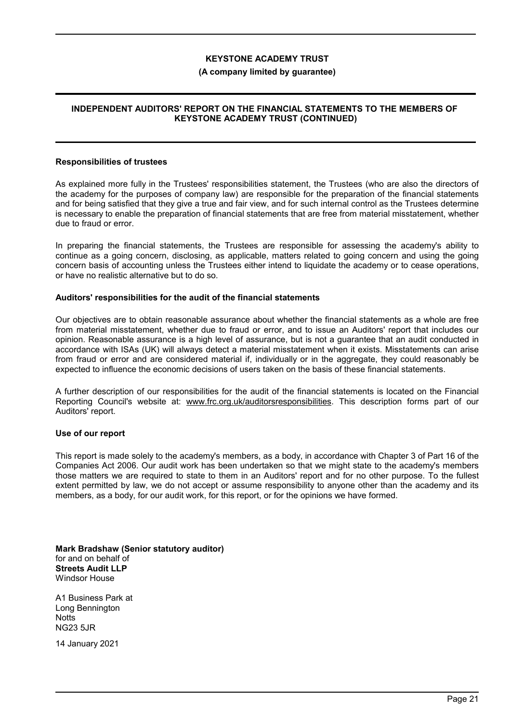#### **(A company limited by guarantee)**

## **INDEPENDENT AUDITORS' REPORT ON THE FINANCIAL STATEMENTS TO THE MEMBERS OF KEYSTONE ACADEMY TRUST (CONTINUED)**

#### **Responsibilities of trustees**

As explained more fully in the Trustees' responsibilities statement, the Trustees (who are also the directors of the academy for the purposes of company law) are responsible for the preparation of the financial statements and for being satisfied that they give a true and fair view, and for such internal control as the Trustees determine is necessary to enable the preparation of financial statements that are free from material misstatement, whether due to fraud or error.

In preparing the financial statements, the Trustees are responsible for assessing the academy's ability to continue as a going concern, disclosing, as applicable, matters related to going concern and using the going concern basis of accounting unless the Trustees either intend to liquidate the academy or to cease operations, or have no realistic alternative but to do so.

#### **Auditors' responsibilities for the audit of the financial statements**

Our objectives are to obtain reasonable assurance about whether the financial statements as a whole are free from material misstatement, whether due to fraud or error, and to issue an Auditors' report that includes our opinion. Reasonable assurance is a high level of assurance, but is not a guarantee that an audit conducted in accordance with ISAs (UK) will always detect a material misstatement when it exists. Misstatements can arise from fraud or error and are considered material if, individually or in the aggregate, they could reasonably be expected to influence the economic decisions of users taken on the basis of these financial statements.

A further description of our responsibilities for the audit of the financial statements is located on the Financial Reporting Council's website at: www.frc.org.uk/auditorsresponsibilities. This description forms part of our Auditors' report.

#### **Use of our report**

This report is made solely to the academy's members, as a body, in accordance with Chapter 3 of Part 16 of the Companies Act 2006. Our audit work has been undertaken so that we might state to the academy's members those matters we are required to state to them in an Auditors' report and for no other purpose. To the fullest extent permitted by law, we do not accept or assume responsibility to anyone other than the academy and its members, as a body, for our audit work, for this report, or for the opinions we have formed.

**Mark Bradshaw (Senior statutory auditor)** for and on behalf of **Streets Audit LLP** Windsor House

A1 Business Park at Long Bennington **Notts** NG23 5JR

14 January 2021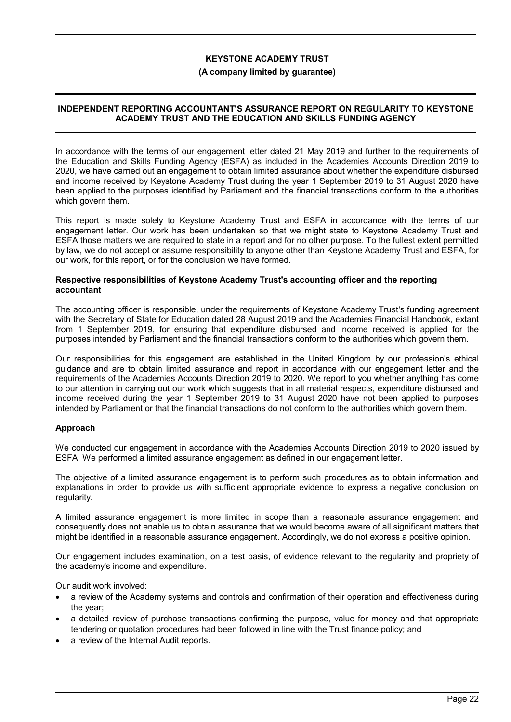#### **(A company limited by guarantee)**

### **INDEPENDENT REPORTING ACCOUNTANT'S ASSURANCE REPORT ON REGULARITY TO KEYSTONE ACADEMY TRUST AND THE EDUCATION AND SKILLS FUNDING AGENCY**

In accordance with the terms of our engagement letter dated 21 May 2019 and further to the requirements of the Education and Skills Funding Agency (ESFA) as included in the Academies Accounts Direction 2019 to 2020, we have carried out an engagement to obtain limited assurance about whether the expenditure disbursed and income received by Keystone Academy Trust during the year 1 September 2019 to 31 August 2020 have been applied to the purposes identified by Parliament and the financial transactions conform to the authorities which govern them.

This report is made solely to Keystone Academy Trust and ESFA in accordance with the terms of our engagement letter. Our work has been undertaken so that we might state to Keystone Academy Trust and ESFA those matters we are required to state in a report and for no other purpose. To the fullest extent permitted by law, we do not accept or assume responsibility to anyone other than Keystone Academy Trust and ESFA, for our work, for this report, or for the conclusion we have formed.

#### **Respective responsibilities of Keystone Academy Trust's accounting officer and the reporting accountant**

The accounting officer is responsible, under the requirements of Keystone Academy Trust's funding agreement with the Secretary of State for Education dated 28 August 2019 and the Academies Financial Handbook, extant from 1 September 2019, for ensuring that expenditure disbursed and income received is applied for the purposes intended by Parliament and the financial transactions conform to the authorities which govern them.

Our responsibilities for this engagement are established in the United Kingdom by our profession's ethical guidance and are to obtain limited assurance and report in accordance with our engagement letter and the requirements of the Academies Accounts Direction 2019 to 2020. We report to you whether anything has come to our attention in carrying out our work which suggests that in all material respects, expenditure disbursed and income received during the year 1 September 2019 to 31 August 2020 have not been applied to purposes intended by Parliament or that the financial transactions do not conform to the authorities which govern them.

## **Approach**

We conducted our engagement in accordance with the Academies Accounts Direction 2019 to 2020 issued by ESFA. We performed a limited assurance engagement as defined in our engagement letter.

The objective of a limited assurance engagement is to perform such procedures as to obtain information and explanations in order to provide us with sufficient appropriate evidence to express a negative conclusion on regularity.

A limited assurance engagement is more limited in scope than a reasonable assurance engagement and consequently does not enable us to obtain assurance that we would become aware of all significant matters that might be identified in a reasonable assurance engagement. Accordingly, we do not express a positive opinion.

Our engagement includes examination, on a test basis, of evidence relevant to the regularity and propriety of the academy's income and expenditure.

Our audit work involved:

- a review of the Academy systems and controls and confirmation of their operation and effectiveness during the year;
- a detailed review of purchase transactions confirming the purpose, value for money and that appropriate tendering or quotation procedures had been followed in line with the Trust finance policy; and
- a review of the Internal Audit reports.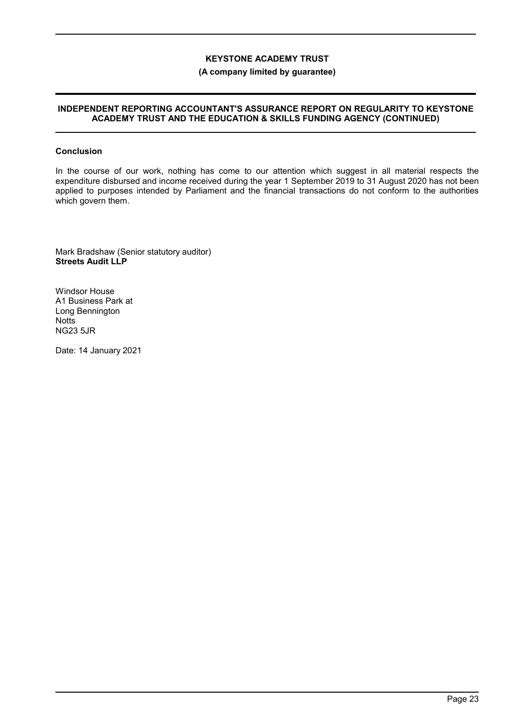## **(A company limited by guarantee)**

#### **INDEPENDENT REPORTING ACCOUNTANT'S ASSURANCE REPORT ON REGULARITY TO KEYSTONE ACADEMY TRUST AND THE EDUCATION & SKILLS FUNDING AGENCY (CONTINUED)**

#### **Conclusion**

In the course of our work, nothing has come to our attention which suggest in all material respects the expenditure disbursed and income received during the year 1 September 2019 to 31 August 2020 has not been applied to purposes intended by Parliament and the financial transactions do not conform to the authorities which govern them.

Mark Bradshaw (Senior statutory auditor) **Streets Audit LLP**

Windsor House A1 Business Park at Long Bennington **Notts** NG23 5JR

Date: 14 January 2021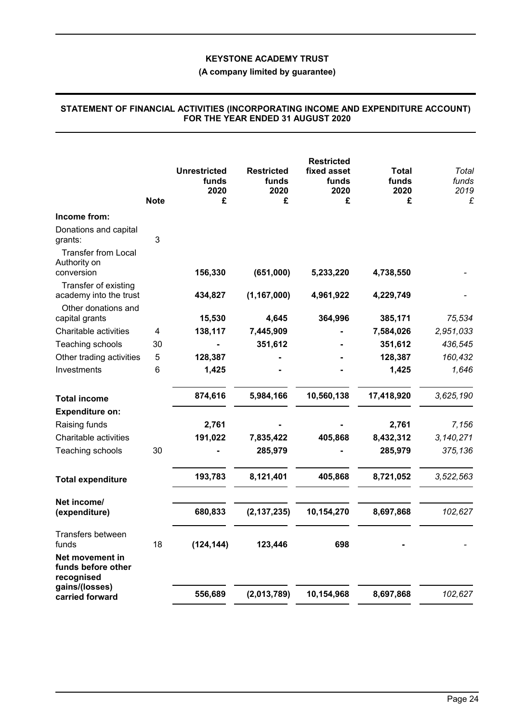## **(A company limited by guarantee)**

|                                                          | <b>Note</b> | <b>Unrestricted</b><br>funds<br>2020<br>£ | <b>Restricted</b><br>funds<br>2020<br>£ | <b>Restricted</b><br>fixed asset<br>funds<br>2020<br>£ | <b>Total</b><br>funds<br>2020<br>£ | Total<br>funds<br>2019<br>£ |
|----------------------------------------------------------|-------------|-------------------------------------------|-----------------------------------------|--------------------------------------------------------|------------------------------------|-----------------------------|
| Income from:                                             |             |                                           |                                         |                                                        |                                    |                             |
| Donations and capital<br>grants:                         | 3           |                                           |                                         |                                                        |                                    |                             |
| <b>Transfer from Local</b><br>Authority on<br>conversion |             | 156,330                                   | (651,000)                               | 5,233,220                                              | 4,738,550                          |                             |
| Transfer of existing<br>academy into the trust           |             | 434,827                                   | (1, 167, 000)                           | 4,961,922                                              | 4,229,749                          |                             |
| Other donations and<br>capital grants                    |             | 15,530                                    | 4,645                                   | 364,996                                                | 385,171                            | 75,534                      |
| Charitable activities                                    | 4           | 138,117                                   | 7,445,909                               |                                                        | 7,584,026                          | 2,951,033                   |
| Teaching schools                                         | 30          |                                           | 351,612                                 |                                                        | 351,612                            | 436,545                     |
| Other trading activities                                 | 5           | 128,387                                   |                                         |                                                        | 128,387                            | 160,432                     |
| Investments                                              | 6           | 1,425                                     |                                         |                                                        | 1,425                              | 1,646                       |
| <b>Total income</b>                                      |             | 874,616                                   | 5,984,166                               | 10,560,138                                             | 17,418,920                         | 3,625,190                   |
| <b>Expenditure on:</b>                                   |             |                                           |                                         |                                                        |                                    |                             |
| Raising funds                                            |             | 2,761                                     |                                         |                                                        | 2,761                              | 7,156                       |
| Charitable activities                                    |             | 191,022                                   | 7,835,422                               | 405,868                                                | 8,432,312                          | 3,140,271                   |
| Teaching schools                                         | 30          |                                           | 285,979                                 |                                                        | 285,979                            | 375,136                     |
| <b>Total expenditure</b>                                 |             | 193,783                                   | 8,121,401                               | 405,868                                                | 8,721,052                          | 3,522,563                   |
| Net income/                                              |             |                                           |                                         |                                                        |                                    |                             |
| (expenditure)                                            |             | 680,833                                   | (2, 137, 235)                           | 10,154,270                                             | 8,697,868                          | 102,627                     |
| Transfers between<br>funds                               | 18          | (124, 144)                                | 123,446                                 | 698                                                    |                                    |                             |
| Net movement in<br>funds before other<br>recognised      |             |                                           |                                         |                                                        |                                    |                             |
| gains/(losses)<br>carried forward                        |             | 556,689                                   | (2,013,789)                             | 10,154,968                                             | 8,697,868                          | 102,627                     |

#### **STATEMENT OF FINANCIAL ACTIVITIES (INCORPORATING INCOME AND EXPENDITURE ACCOUNT) FOR THE YEAR ENDED 31 AUGUST 2020**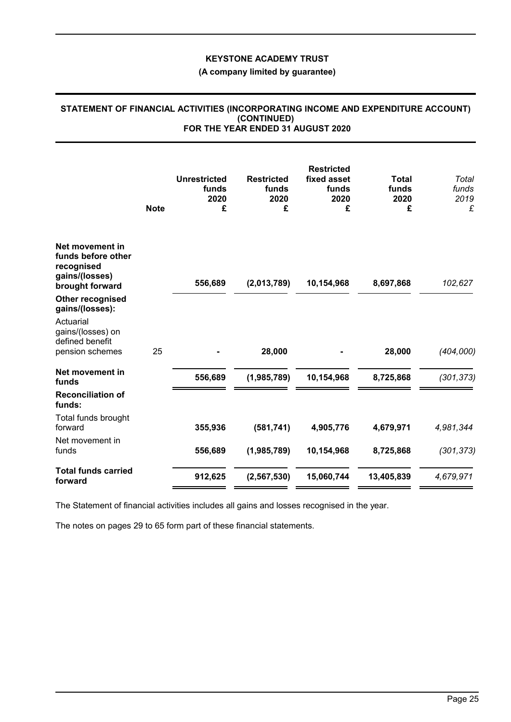## **(A company limited by guarantee)**

#### **STATEMENT OF FINANCIAL ACTIVITIES (INCORPORATING INCOME AND EXPENDITURE ACCOUNT) (CONTINUED) FOR THE YEAR ENDED 31 AUGUST 2020**

|                                                                                          | <b>Note</b> | <b>Unrestricted</b><br>funds<br>2020<br>£ | <b>Restricted</b><br>funds<br>2020<br>£ | <b>Restricted</b><br>fixed asset<br>funds<br>2020<br>£ | <b>Total</b><br>funds<br>2020<br>£ | Total<br>funds<br>2019<br>£ |
|------------------------------------------------------------------------------------------|-------------|-------------------------------------------|-----------------------------------------|--------------------------------------------------------|------------------------------------|-----------------------------|
| Net movement in<br>funds before other<br>recognised<br>gains/(losses)<br>brought forward |             | 556,689                                   | (2,013,789)                             | 10,154,968                                             | 8,697,868                          | 102,627                     |
| Other recognised<br>gains/(losses):                                                      |             |                                           |                                         |                                                        |                                    |                             |
| Actuarial<br>gains/(losses) on<br>defined benefit                                        |             |                                           |                                         |                                                        |                                    |                             |
| pension schemes                                                                          | 25          |                                           | 28,000                                  |                                                        | 28,000                             | (404,000)                   |
| Net movement in<br>funds                                                                 |             | 556,689                                   | (1,985,789)                             | 10,154,968                                             | 8,725,868                          | (301, 373)                  |
| <b>Reconciliation of</b><br>funds:                                                       |             |                                           |                                         |                                                        |                                    |                             |
| Total funds brought<br>forward                                                           |             | 355,936                                   | (581, 741)                              | 4,905,776                                              | 4,679,971                          | 4,981,344                   |
| Net movement in<br>funds                                                                 |             | 556,689                                   | (1,985,789)                             | 10,154,968                                             | 8,725,868                          | (301, 373)                  |
| <b>Total funds carried</b><br>forward                                                    |             | 912,625                                   | (2, 567, 530)                           | 15,060,744                                             | 13,405,839                         | 4,679,971                   |

The Statement of financial activities includes all gains and losses recognised in the year.

The notes on pages 29 to 65 form part of these financial statements.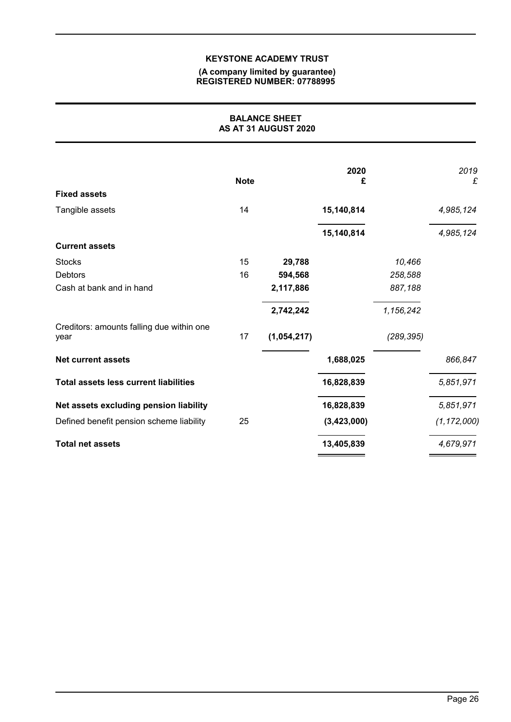#### **(A company limited by guarantee) REGISTERED NUMBER: 07788995**

## **BALANCE SHEET AS AT 31 AUGUST 2020**

|                                                   | <b>Note</b> |             | 2020<br>£   |            | 2019<br>£     |
|---------------------------------------------------|-------------|-------------|-------------|------------|---------------|
| <b>Fixed assets</b>                               |             |             |             |            |               |
| Tangible assets                                   | 14          |             | 15,140,814  |            | 4,985,124     |
|                                                   |             |             | 15,140,814  |            | 4,985,124     |
| <b>Current assets</b>                             |             |             |             |            |               |
| <b>Stocks</b>                                     | 15          | 29,788      |             | 10,466     |               |
| <b>Debtors</b>                                    | 16          | 594,568     |             | 258,588    |               |
| Cash at bank and in hand                          |             | 2,117,886   |             | 887,188    |               |
|                                                   |             | 2,742,242   |             | 1,156,242  |               |
| Creditors: amounts falling due within one<br>year | 17          | (1,054,217) |             | (289, 395) |               |
| <b>Net current assets</b>                         |             |             | 1,688,025   |            | 866,847       |
| <b>Total assets less current liabilities</b>      |             |             | 16,828,839  |            | 5,851,971     |
| Net assets excluding pension liability            |             |             | 16,828,839  |            | 5,851,971     |
| Defined benefit pension scheme liability          | 25          |             | (3,423,000) |            | (1, 172, 000) |
| <b>Total net assets</b>                           |             |             | 13,405,839  |            | 4,679,971     |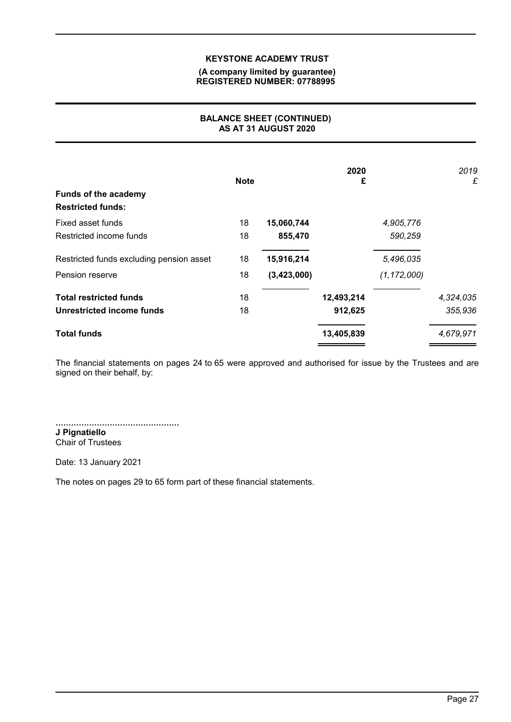#### **(A company limited by guarantee) REGISTERED NUMBER: 07788995**

## **BALANCE SHEET (CONTINUED) AS AT 31 AUGUST 2020**

| <b>Funds of the academy</b><br><b>Restricted funds:</b> | <b>Note</b> |             | 2020<br>£  |               | 2019<br>£ |
|---------------------------------------------------------|-------------|-------------|------------|---------------|-----------|
| Fixed asset funds                                       | 18          | 15,060,744  |            | 4,905,776     |           |
| Restricted income funds                                 | 18          | 855,470     |            | 590,259       |           |
| Restricted funds excluding pension asset                | 18          | 15,916,214  |            | 5,496,035     |           |
| Pension reserve                                         | 18          | (3,423,000) |            | (1, 172, 000) |           |
| <b>Total restricted funds</b>                           | 18          |             | 12,493,214 |               | 4,324,035 |
| Unrestricted income funds                               | 18          |             | 912,625    |               | 355,936   |
| <b>Total funds</b>                                      |             |             | 13,405,839 |               | 4,679,971 |

The financial statements on pages 24 to 65 were approved and authorised for issue by the Trustees and are signed on their behalf, by:

................................................ **J Pignatiello** Chair of Trustees

Date: 13 January 2021

The notes on pages 29 to 65 form part of these financial statements.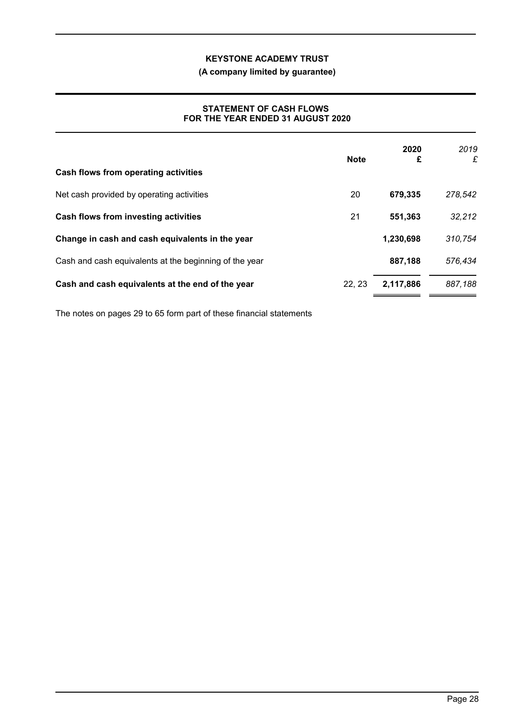**(A company limited by guarantee)**

## **STATEMENT OF CASH FLOWS FOR THE YEAR ENDED 31 AUGUST 2020**

| Cash flows from operating activities                   | <b>Note</b> | 2020<br>£ | 2019<br>£ |
|--------------------------------------------------------|-------------|-----------|-----------|
| Net cash provided by operating activities              | 20          | 679,335   | 278,542   |
| Cash flows from investing activities                   | 21          | 551,363   | 32,212    |
| Change in cash and cash equivalents in the year        |             | 1,230,698 | 310,754   |
| Cash and cash equivalents at the beginning of the year |             | 887,188   | 576,434   |
| Cash and cash equivalents at the end of the year       | 22, 23      | 2,117,886 | 887,188   |

The notes on pages 29 to 65 form part of these financial statements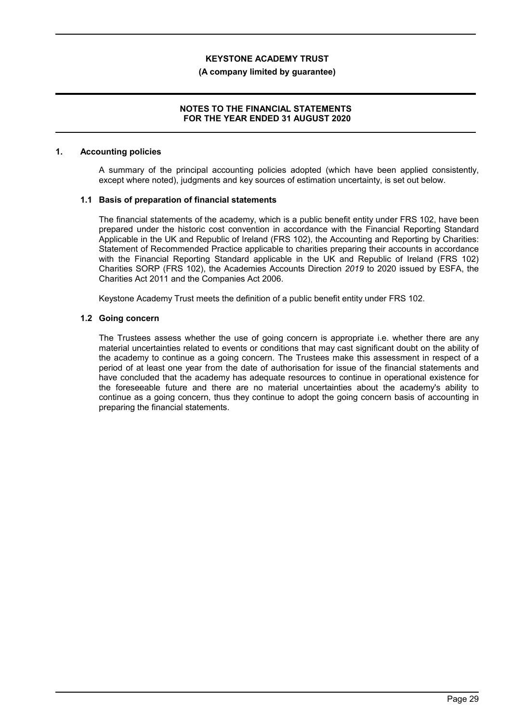#### **(A company limited by guarantee)**

#### **NOTES TO THE FINANCIAL STATEMENTS FOR THE YEAR ENDED 31 AUGUST 2020**

#### **1. Accounting policies**

A summary of the principal accounting policies adopted (which have been applied consistently, except where noted), judgments and key sources of estimation uncertainty, is set out below.

#### **1.1 Basis of preparation of financial statements**

The financial statements of the academy, which is a public benefit entity under FRS 102, have been prepared under the historic cost convention in accordance with the Financial Reporting Standard Applicable in the UK and Republic of Ireland (FRS 102), the Accounting and Reporting by Charities: Statement of Recommended Practice applicable to charities preparing their accounts in accordance with the Financial Reporting Standard applicable in the UK and Republic of Ireland (FRS 102) Charities SORP (FRS 102), the Academies Accounts Direction *2019* to 2020 issued by ESFA, the Charities Act 2011 and the Companies Act 2006.

Keystone Academy Trust meets the definition of a public benefit entity under FRS 102.

## **1.2 Going concern**

The Trustees assess whether the use of going concern is appropriate i.e. whether there are any material uncertainties related to events or conditions that may cast significant doubt on the ability of the academy to continue as a going concern. The Trustees make this assessment in respect of a period of at least one year from the date of authorisation for issue of the financial statements and have concluded that the academy has adequate resources to continue in operational existence for the foreseeable future and there are no material uncertainties about the academy's ability to continue as a going concern, thus they continue to adopt the going concern basis of accounting in preparing the financial statements.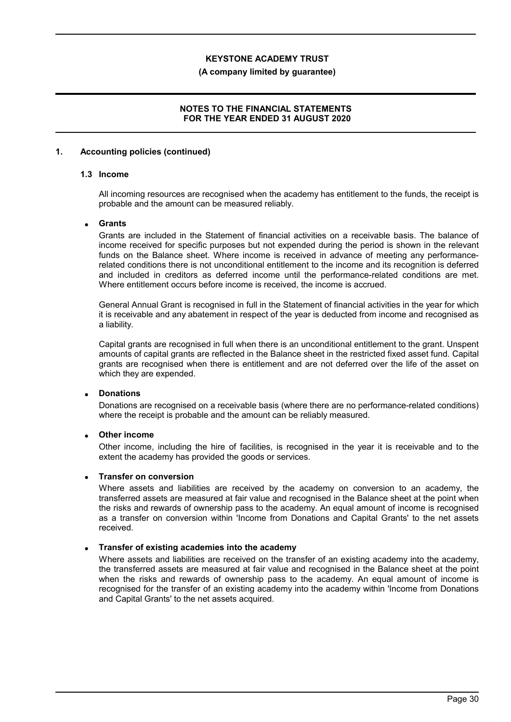#### **(A company limited by guarantee)**

### **NOTES TO THE FINANCIAL STATEMENTS FOR THE YEAR ENDED 31 AUGUST 2020**

#### **1. Accounting policies (continued)**

## **1.3 Income**

All incoming resources are recognised when the academy has entitlement to the funds, the receipt is probable and the amount can be measured reliably.

## **Grants**

Grants are included in the Statement of financial activities on a receivable basis. The balance of income received for specific purposes but not expended during the period is shown in the relevant funds on the Balance sheet. Where income is received in advance of meeting any performancerelated conditions there is not unconditional entitlement to the income and its recognition is deferred and included in creditors as deferred income until the performance-related conditions are met. Where entitlement occurs before income is received, the income is accrued.

General Annual Grant is recognised in full in the Statement of financial activities in the year for which it is receivable and any abatement in respect of the year is deducted from income and recognised as a liability.

Capital grants are recognised in full when there is an unconditional entitlement to the grant. Unspent amounts of capital grants are reflected in the Balance sheet in the restricted fixed asset fund. Capital grants are recognised when there is entitlement and are not deferred over the life of the asset on which they are expended.

## **Donations**

Donations are recognised on a receivable basis (where there are no performance-related conditions) where the receipt is probable and the amount can be reliably measured.

## **Other income**

Other income, including the hire of facilities, is recognised in the year it is receivable and to the extent the academy has provided the goods or services.

#### **Transfer on conversion**

Where assets and liabilities are received by the academy on conversion to an academy, the transferred assets are measured at fair value and recognised in the Balance sheet at the point when the risks and rewards of ownership pass to the academy. An equal amount of income is recognised as a transfer on conversion within 'Income from Donations and Capital Grants' to the net assets received.

#### **Transfer of existing academies into the academy**

Where assets and liabilities are received on the transfer of an existing academy into the academy, the transferred assets are measured at fair value and recognised in the Balance sheet at the point when the risks and rewards of ownership pass to the academy. An equal amount of income is recognised for the transfer of an existing academy into the academy within 'Income from Donations and Capital Grants' to the net assets acquired.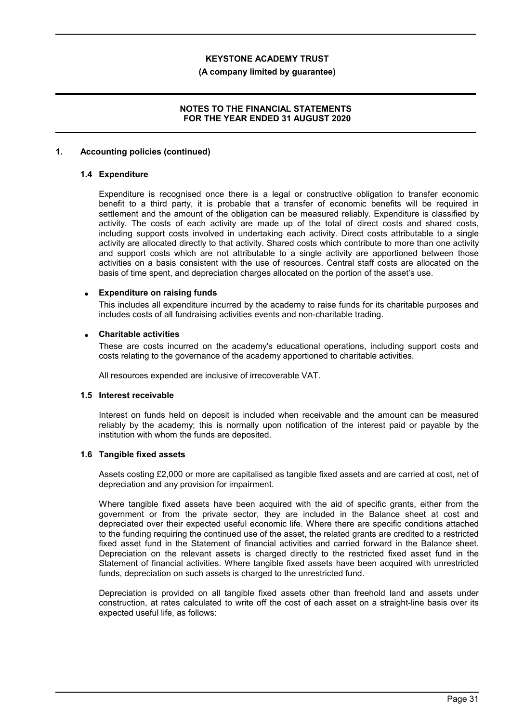#### **(A company limited by guarantee)**

### **NOTES TO THE FINANCIAL STATEMENTS FOR THE YEAR ENDED 31 AUGUST 2020**

#### **1. Accounting policies (continued)**

### **1.4 Expenditure**

Expenditure is recognised once there is a legal or constructive obligation to transfer economic benefit to a third party, it is probable that a transfer of economic benefits will be required in settlement and the amount of the obligation can be measured reliably. Expenditure is classified by activity. The costs of each activity are made up of the total of direct costs and shared costs, including support costs involved in undertaking each activity. Direct costs attributable to a single activity are allocated directly to that activity. Shared costs which contribute to more than one activity and support costs which are not attributable to a single activity are apportioned between those activities on a basis consistent with the use of resources. Central staff costs are allocated on the basis of time spent, and depreciation charges allocated on the portion of the asset's use.

#### **Expenditure on raising funds**

This includes all expenditure incurred by the academy to raise funds for its charitable purposes and includes costs of all fundraising activities events and non-charitable trading.

#### **Charitable activities**

These are costs incurred on the academy's educational operations, including support costs and costs relating to the governance of the academy apportioned to charitable activities.

All resources expended are inclusive of irrecoverable VAT.

#### **1.5 Interest receivable**

Interest on funds held on deposit is included when receivable and the amount can be measured reliably by the academy; this is normally upon notification of the interest paid or payable by the institution with whom the funds are deposited.

#### **1.6 Tangible fixed assets**

Assets costing £2,000 or more are capitalised as tangible fixed assets and are carried at cost, net of depreciation and any provision for impairment.

Where tangible fixed assets have been acquired with the aid of specific grants, either from the government or from the private sector, they are included in the Balance sheet at cost and depreciated over their expected useful economic life. Where there are specific conditions attached to the funding requiring the continued use of the asset, the related grants are credited to a restricted fixed asset fund in the Statement of financial activities and carried forward in the Balance sheet. Depreciation on the relevant assets is charged directly to the restricted fixed asset fund in the Statement of financial activities. Where tangible fixed assets have been acquired with unrestricted funds, depreciation on such assets is charged to the unrestricted fund.

Depreciation is provided on all tangible fixed assets other than freehold land and assets under construction, at rates calculated to write off the cost of each asset on a straight-line basis over its expected useful life, as follows: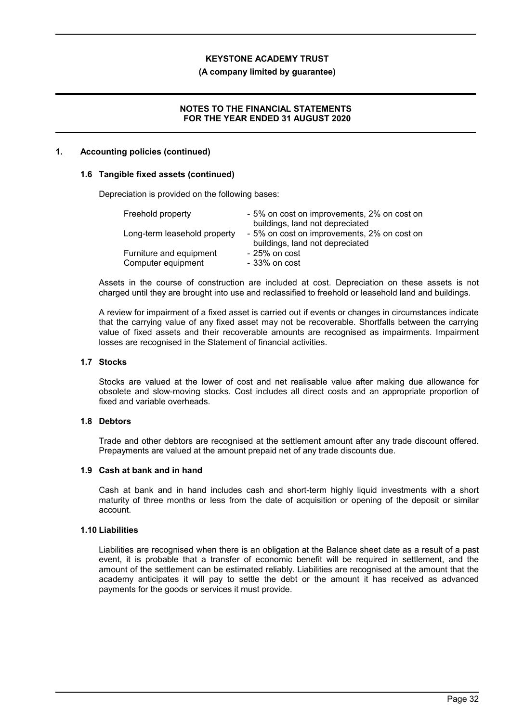#### **(A company limited by guarantee)**

### **NOTES TO THE FINANCIAL STATEMENTS FOR THE YEAR ENDED 31 AUGUST 2020**

#### **1. Accounting policies (continued)**

#### **1.6 Tangible fixed assets (continued)**

Depreciation is provided on the following bases:

| Freehold property                             | - 5% on cost on improvements, 2% on cost on<br>buildings, land not depreciated |
|-----------------------------------------------|--------------------------------------------------------------------------------|
| Long-term leasehold property                  | - 5% on cost on improvements, 2% on cost on<br>buildings, land not depreciated |
| Furniture and equipment<br>Computer equipment | $-25%$ on cost<br>$-33%$ on cost                                               |

Assets in the course of construction are included at cost. Depreciation on these assets is not charged until they are brought into use and reclassified to freehold or leasehold land and buildings.

A review for impairment of a fixed asset is carried out if events or changes in circumstances indicate that the carrying value of any fixed asset may not be recoverable. Shortfalls between the carrying value of fixed assets and their recoverable amounts are recognised as impairments. Impairment losses are recognised in the Statement of financial activities.

#### **1.7 Stocks**

Stocks are valued at the lower of cost and net realisable value after making due allowance for obsolete and slow-moving stocks. Cost includes all direct costs and an appropriate proportion of fixed and variable overheads.

#### **1.8 Debtors**

Trade and other debtors are recognised at the settlement amount after any trade discount offered. Prepayments are valued at the amount prepaid net of any trade discounts due.

#### **1.9 Cash at bank and in hand**

Cash at bank and in hand includes cash and short-term highly liquid investments with a short maturity of three months or less from the date of acquisition or opening of the deposit or similar account.

## **1.10 Liabilities**

Liabilities are recognised when there is an obligation at the Balance sheet date as a result of a past event, it is probable that a transfer of economic benefit will be required in settlement, and the amount of the settlement can be estimated reliably. Liabilities are recognised at the amount that the academy anticipates it will pay to settle the debt or the amount it has received as advanced payments for the goods or services it must provide.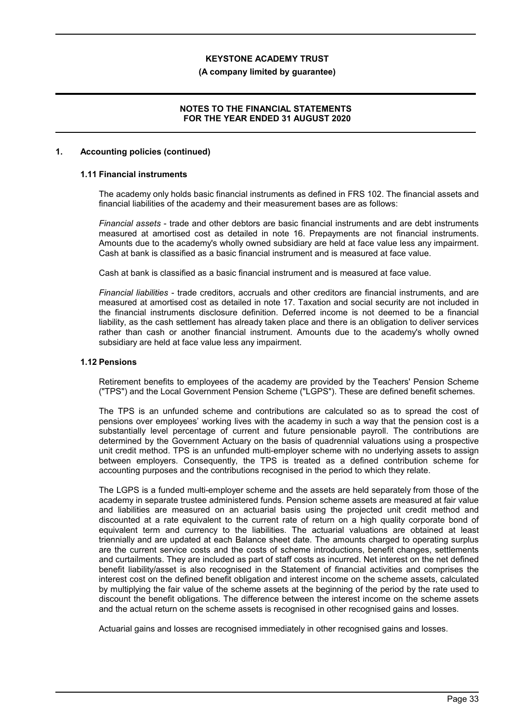#### **(A company limited by guarantee)**

### **NOTES TO THE FINANCIAL STATEMENTS FOR THE YEAR ENDED 31 AUGUST 2020**

#### **1. Accounting policies (continued)**

## **1.11 Financial instruments**

The academy only holds basic financial instruments as defined in FRS 102. The financial assets and financial liabilities of the academy and their measurement bases are as follows:

*Financial assets* - trade and other debtors are basic financial instruments and are debt instruments measured at amortised cost as detailed in note 16. Prepayments are not financial instruments. Amounts due to the academy's wholly owned subsidiary are held at face value less any impairment. Cash at bank is classified as a basic financial instrument and is measured at face value.

Cash at bank is classified as a basic financial instrument and is measured at face value.

*Financial liabilities* - trade creditors, accruals and other creditors are financial instruments, and are measured at amortised cost as detailed in note 17. Taxation and social security are not included in the financial instruments disclosure definition. Deferred income is not deemed to be a financial liability, as the cash settlement has already taken place and there is an obligation to deliver services rather than cash or another financial instrument. Amounts due to the academy's wholly owned subsidiary are held at face value less any impairment.

#### **1.12 Pensions**

Retirement benefits to employees of the academy are provided by the Teachers' Pension Scheme ("TPS") and the Local Government Pension Scheme ("LGPS"). These are defined benefit schemes.

The TPS is an unfunded scheme and contributions are calculated so as to spread the cost of pensions over employees' working lives with the academy in such a way that the pension cost is a substantially level percentage of current and future pensionable payroll. The contributions are determined by the Government Actuary on the basis of quadrennial valuations using a prospective unit credit method. TPS is an unfunded multi-employer scheme with no underlying assets to assign between employers. Consequently, the TPS is treated as a defined contribution scheme for accounting purposes and the contributions recognised in the period to which they relate.

The LGPS is a funded multi-employer scheme and the assets are held separately from those of the academy in separate trustee administered funds. Pension scheme assets are measured at fair value and liabilities are measured on an actuarial basis using the projected unit credit method and discounted at a rate equivalent to the current rate of return on a high quality corporate bond of equivalent term and currency to the liabilities. The actuarial valuations are obtained at least triennially and are updated at each Balance sheet date. The amounts charged to operating surplus are the current service costs and the costs of scheme introductions, benefit changes, settlements and curtailments. They are included as part of staff costs as incurred. Net interest on the net defined benefit liability/asset is also recognised in the Statement of financial activities and comprises the interest cost on the defined benefit obligation and interest income on the scheme assets, calculated by multiplying the fair value of the scheme assets at the beginning of the period by the rate used to discount the benefit obligations. The difference between the interest income on the scheme assets and the actual return on the scheme assets is recognised in other recognised gains and losses.

Actuarial gains and losses are recognised immediately in other recognised gains and losses.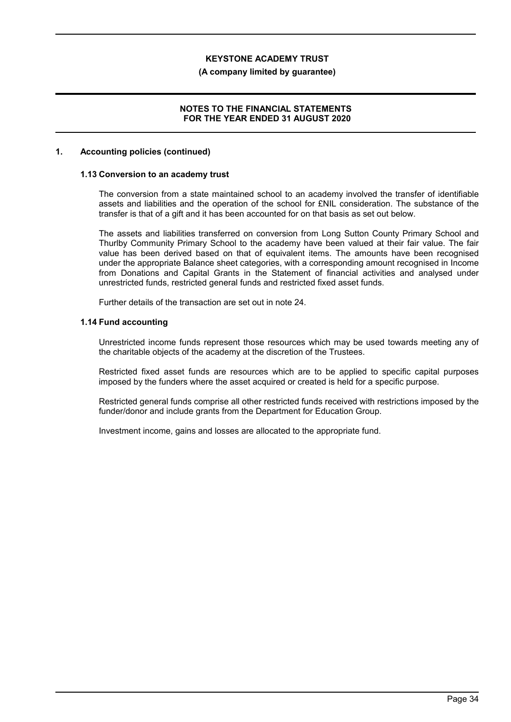#### **(A company limited by guarantee)**

### **NOTES TO THE FINANCIAL STATEMENTS FOR THE YEAR ENDED 31 AUGUST 2020**

#### **1. Accounting policies (continued)**

#### **1.13 Conversion to an academy trust**

The conversion from a state maintained school to an academy involved the transfer of identifiable assets and liabilities and the operation of the school for £NIL consideration. The substance of the transfer is that of a gift and it has been accounted for on that basis as set out below.

The assets and liabilities transferred on conversion from Long Sutton County Primary School and Thurlby Community Primary School to the academy have been valued at their fair value. The fair value has been derived based on that of equivalent items. The amounts have been recognised under the appropriate Balance sheet categories, with a corresponding amount recognised in Income from Donations and Capital Grants in the Statement of financial activities and analysed under unrestricted funds, restricted general funds and restricted fixed asset funds.

Further details of the transaction are set out in note 24.

#### **1.14 Fund accounting**

Unrestricted income funds represent those resources which may be used towards meeting any of the charitable objects of the academy at the discretion of the Trustees.

Restricted fixed asset funds are resources which are to be applied to specific capital purposes imposed by the funders where the asset acquired or created is held for a specific purpose.

Restricted general funds comprise all other restricted funds received with restrictions imposed by the funder/donor and include grants from the Department for Education Group.

Investment income, gains and losses are allocated to the appropriate fund.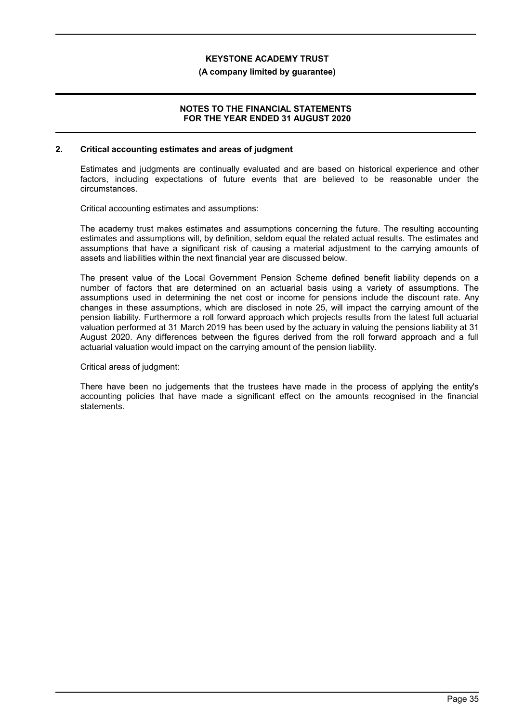#### **(A company limited by guarantee)**

#### **NOTES TO THE FINANCIAL STATEMENTS FOR THE YEAR ENDED 31 AUGUST 2020**

#### **2. Critical accounting estimates and areas of judgment**

Estimates and judgments are continually evaluated and are based on historical experience and other factors, including expectations of future events that are believed to be reasonable under the circumstances.

Critical accounting estimates and assumptions:

The academy trust makes estimates and assumptions concerning the future. The resulting accounting estimates and assumptions will, by definition, seldom equal the related actual results. The estimates and assumptions that have a significant risk of causing a material adjustment to the carrying amounts of assets and liabilities within the next financial year are discussed below.

The present value of the Local Government Pension Scheme defined benefit liability depends on a number of factors that are determined on an actuarial basis using a variety of assumptions. The assumptions used in determining the net cost or income for pensions include the discount rate. Any changes in these assumptions, which are disclosed in note 25, will impact the carrying amount of the pension liability. Furthermore a roll forward approach which projects results from the latest full actuarial valuation performed at 31 March 2019 has been used by the actuary in valuing the pensions liability at 31 August 2020. Any differences between the figures derived from the roll forward approach and a full actuarial valuation would impact on the carrying amount of the pension liability.

#### Critical areas of judgment:

There have been no judgements that the trustees have made in the process of applying the entity's accounting policies that have made a significant effect on the amounts recognised in the financial statements.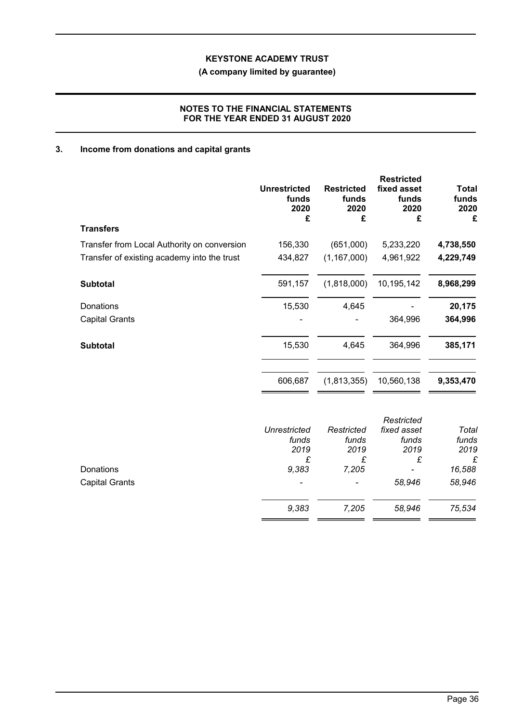**(A company limited by guarantee)**

## **NOTES TO THE FINANCIAL STATEMENTS FOR THE YEAR ENDED 31 AUGUST 2020**

## **3. Income from donations and capital grants**

|                                             | <b>Unrestricted</b><br>funds<br>2020<br>£ | <b>Restricted</b><br>funds<br>2020<br>£ | <b>Restricted</b><br>fixed asset<br>funds<br>2020<br>£ | <b>Total</b><br>funds<br>2020<br>£ |
|---------------------------------------------|-------------------------------------------|-----------------------------------------|--------------------------------------------------------|------------------------------------|
| <b>Transfers</b>                            |                                           |                                         |                                                        |                                    |
| Transfer from Local Authority on conversion | 156,330                                   | (651,000)                               | 5,233,220                                              | 4,738,550                          |
| Transfer of existing academy into the trust | 434,827                                   | (1, 167, 000)                           | 4,961,922                                              | 4,229,749                          |
| <b>Subtotal</b>                             | 591,157                                   | (1,818,000)                             | 10,195,142                                             | 8,968,299                          |
| Donations                                   | 15,530                                    | 4,645                                   |                                                        | 20,175                             |
| <b>Capital Grants</b>                       |                                           |                                         | 364,996                                                | 364,996                            |
| <b>Subtotal</b>                             | 15,530                                    | 4,645                                   | 364,996                                                | 385,171                            |
|                                             | 606,687                                   | (1,813,355)                             | 10,560,138                                             | 9,353,470                          |
|                                             |                                           |                                         | Restricted                                             |                                    |
|                                             | <b>Unrestricted</b>                       | Restricted                              | fixed asset                                            | Total                              |
|                                             | funds                                     | funds                                   | funds                                                  | funds                              |
|                                             | 2019<br>£                                 | 2019<br>£                               | 2019<br>£                                              | 2019<br>£                          |
| Donations                                   | 9,383                                     | 7,205                                   |                                                        | 16,588                             |
| <b>Capital Grants</b>                       |                                           |                                         | 58,946                                                 | 58,946                             |
|                                             | 9,383                                     | 7,205                                   | 58,946                                                 | 75,534                             |
|                                             |                                           |                                         |                                                        |                                    |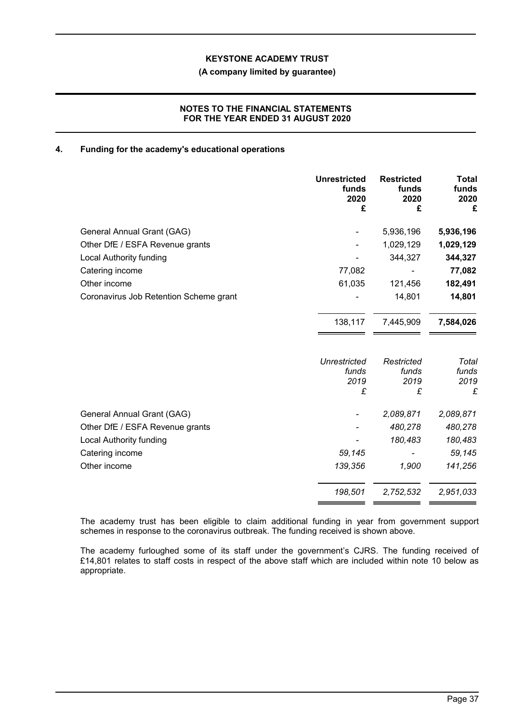### **(A company limited by guarantee)**

## **NOTES TO THE FINANCIAL STATEMENTS FOR THE YEAR ENDED 31 AUGUST 2020**

## **4. Funding for the academy's educational operations**

|                                        | <b>Unrestricted</b><br>funds<br>2020<br>£ | <b>Restricted</b><br>funds<br>2020<br>£ | Total<br>funds<br>2020<br>£ |
|----------------------------------------|-------------------------------------------|-----------------------------------------|-----------------------------|
| General Annual Grant (GAG)             |                                           | 5,936,196                               | 5,936,196                   |
| Other DfE / ESFA Revenue grants        |                                           | 1,029,129                               | 1,029,129                   |
| <b>Local Authority funding</b>         |                                           | 344,327                                 | 344,327                     |
| Catering income                        | 77,082                                    |                                         | 77,082                      |
| Other income                           | 61,035                                    | 121,456                                 | 182,491                     |
| Coronavirus Job Retention Scheme grant |                                           | 14,801                                  | 14,801                      |
|                                        | 138,117                                   | 7,445,909                               | 7,584,026                   |
|                                        | Unrestricted                              | Restricted                              | Total                       |
|                                        | funds<br>2019                             | funds<br>2019                           | funds<br>2019               |
|                                        | £                                         | £                                       | £                           |
| General Annual Grant (GAG)             |                                           | 2,089,871                               | 2,089,871                   |
| Other DfE / ESFA Revenue grants        |                                           | 480,278                                 | 480,278                     |
| <b>Local Authority funding</b>         |                                           | 180,483                                 | 180,483                     |
| Catering income                        | 59,145                                    |                                         | 59,145                      |
| Other income                           | 139,356                                   | 1,900                                   | 141,256                     |
|                                        | 198,501                                   | 2,752,532                               | 2,951,033                   |

The academy trust has been eligible to claim additional funding in year from government support schemes in response to the coronavirus outbreak. The funding received is shown above.

The academy furloughed some of its staff under the government's CJRS. The funding received of £14,801 relates to staff costs in respect of the above staff which are included within note 10 below as appropriate.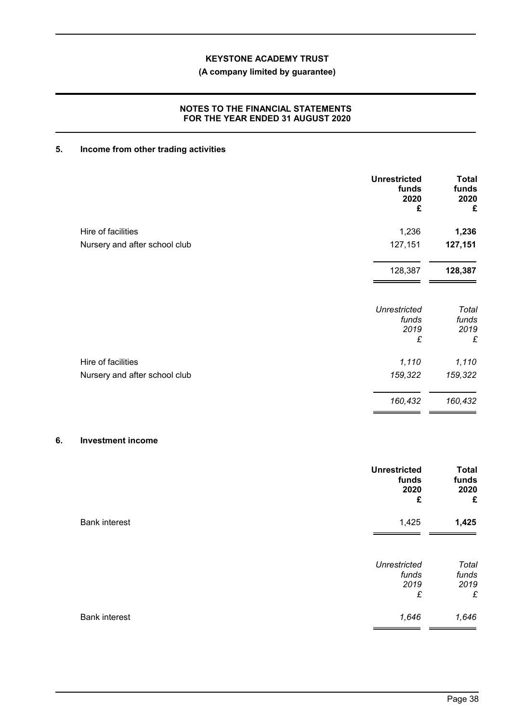## **(A company limited by guarantee)**

## **NOTES TO THE FINANCIAL STATEMENTS FOR THE YEAR ENDED 31 AUGUST 2020**

## **5. Income from other trading activities**

|                               | <b>Unrestricted</b><br>funds<br>2020<br>£ | <b>Total</b><br>funds<br>2020<br>£ |
|-------------------------------|-------------------------------------------|------------------------------------|
| Hire of facilities            | 1,236                                     | 1,236                              |
| Nursery and after school club | 127,151                                   | 127,151                            |
|                               | 128,387                                   | 128,387                            |
|                               | <b>Unrestricted</b><br>funds              | Total<br>funds                     |
|                               | 2019<br>£                                 | 2019<br>£                          |
| Hire of facilities            | 1,110                                     | 1,110                              |
| Nursery and after school club | 159,322                                   | 159,322                            |
|                               | 160,432                                   | 160,432                            |

## **6. Investment income**

|                      | <b>Unrestricted</b><br>funds<br>2020<br>£ | <b>Total</b><br>funds<br>2020<br>£ |
|----------------------|-------------------------------------------|------------------------------------|
| <b>Bank interest</b> | 1,425                                     | 1,425                              |
|                      | <b>Unrestricted</b><br>funds<br>2019<br>£ | Total<br>funds<br>2019<br>£        |
| <b>Bank interest</b> | 1,646                                     | 1,646                              |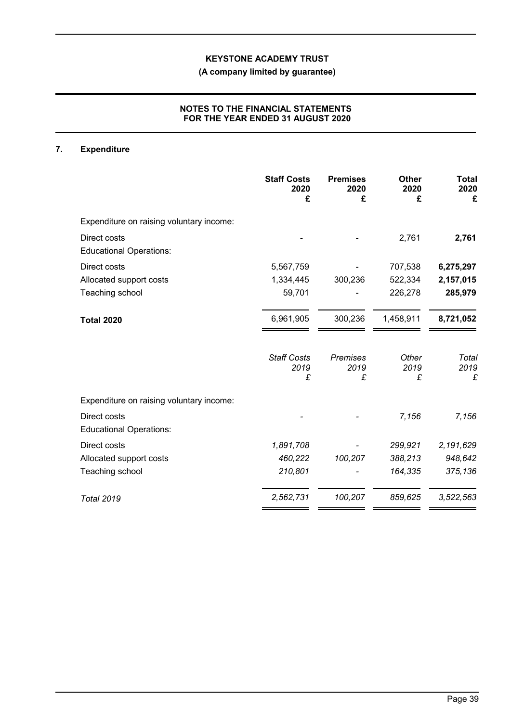## **(A company limited by guarantee)**

## **NOTES TO THE FINANCIAL STATEMENTS FOR THE YEAR ENDED 31 AUGUST 2020**

## **7. Expenditure**

|                                                | <b>Staff Costs</b><br>2020<br>£ | <b>Premises</b><br>2020<br>£ | <b>Other</b><br>2020<br>£ | <b>Total</b><br>2020<br>£ |
|------------------------------------------------|---------------------------------|------------------------------|---------------------------|---------------------------|
| Expenditure on raising voluntary income:       |                                 |                              |                           |                           |
| Direct costs<br><b>Educational Operations:</b> |                                 |                              | 2,761                     | 2,761                     |
| Direct costs                                   | 5,567,759                       |                              | 707,538                   | 6,275,297                 |
| Allocated support costs                        | 1,334,445                       | 300,236                      | 522,334                   | 2,157,015                 |
| Teaching school                                | 59,701                          |                              | 226,278                   | 285,979                   |
| <b>Total 2020</b>                              | 6,961,905                       | 300,236                      | 1,458,911                 | 8,721,052                 |
|                                                | <b>Staff Costs</b><br>2019<br>£ | <b>Premises</b><br>2019<br>£ | Other<br>2019<br>£        | Total<br>2019<br>£        |
| Expenditure on raising voluntary income:       |                                 |                              |                           |                           |
| Direct costs<br><b>Educational Operations:</b> |                                 |                              | 7,156                     | 7,156                     |
| Direct costs                                   | 1,891,708                       |                              | 299,921                   | 2,191,629                 |
| Allocated support costs                        | 460,222                         | 100,207                      | 388,213                   | 948,642                   |
| Teaching school                                | 210,801                         |                              | 164,335                   | 375,136                   |
| <b>Total 2019</b>                              | 2,562,731                       | 100,207                      | 859,625                   | 3,522,563                 |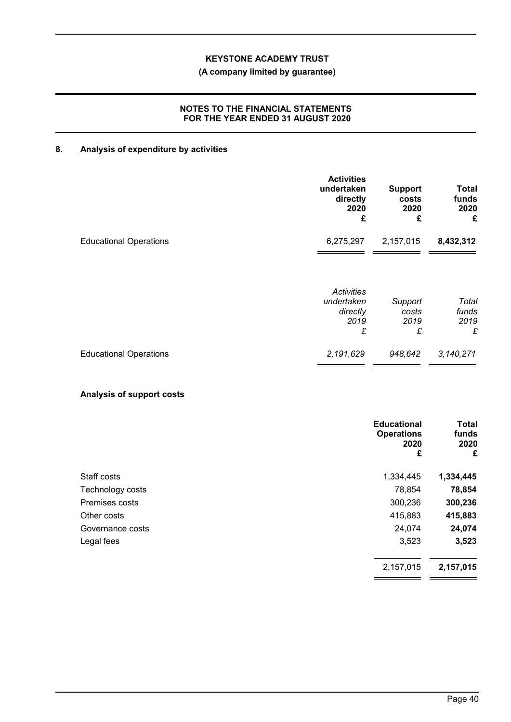## **(A company limited by guarantee)**

## **NOTES TO THE FINANCIAL STATEMENTS FOR THE YEAR ENDED 31 AUGUST 2020**

## **8. Analysis of expenditure by activities**

|                               | <b>Activities</b><br>undertaken<br>directly<br>2020<br>£ | <b>Support</b><br>costs<br>2020<br>£ | <b>Total</b><br>funds<br>2020<br>£ |
|-------------------------------|----------------------------------------------------------|--------------------------------------|------------------------------------|
| <b>Educational Operations</b> | 6,275,297                                                | 2,157,015                            | 8,432,312                          |
|                               | Activities<br>undertaken<br>directly<br>2019<br>£        | Support<br>costs<br>2019<br>£        | Total<br>funds<br>2019<br>£        |
| <b>Educational Operations</b> | 2,191,629                                                | 948,642                              | 3,140,271                          |

## **Analysis of support costs**

|                  | <b>Educational</b><br><b>Operations</b><br>2020<br>£ | <b>Total</b><br>funds<br>2020<br>£ |
|------------------|------------------------------------------------------|------------------------------------|
| Staff costs      | 1,334,445                                            | 1,334,445                          |
| Technology costs | 78,854                                               | 78,854                             |
| Premises costs   | 300,236                                              | 300,236                            |
| Other costs      | 415,883                                              | 415,883                            |
| Governance costs | 24,074                                               | 24,074                             |
| Legal fees       | 3,523                                                | 3,523                              |
|                  | 2,157,015                                            | 2,157,015                          |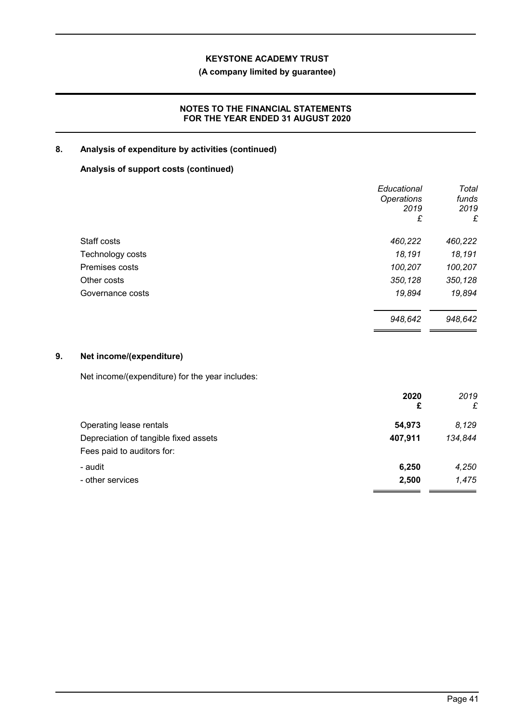## **(A company limited by guarantee)**

## **NOTES TO THE FINANCIAL STATEMENTS FOR THE YEAR ENDED 31 AUGUST 2020**

## **8. Analysis of expenditure by activities (continued)**

## **Analysis of support costs (continued)**

|                  | Educational       | Total   |
|------------------|-------------------|---------|
|                  | <b>Operations</b> | funds   |
|                  | 2019              | 2019    |
|                  | £                 | £       |
| Staff costs      | 460,222           | 460,222 |
| Technology costs | 18,191            | 18,191  |
| Premises costs   | 100,207           | 100,207 |
| Other costs      | 350,128           | 350,128 |
| Governance costs | 19,894            | 19,894  |
|                  | 948,642           | 948,642 |

## **9. Net income/(expenditure)**

Net income/(expenditure) for the year includes:

|                                       | 2020    | 2019    |
|---------------------------------------|---------|---------|
|                                       | £       | £       |
| Operating lease rentals               | 54,973  | 8.129   |
| Depreciation of tangible fixed assets | 407,911 | 134,844 |
| Fees paid to auditors for:            |         |         |
| - audit                               | 6,250   | 4,250   |
| - other services                      | 2,500   | 1,475   |
|                                       |         |         |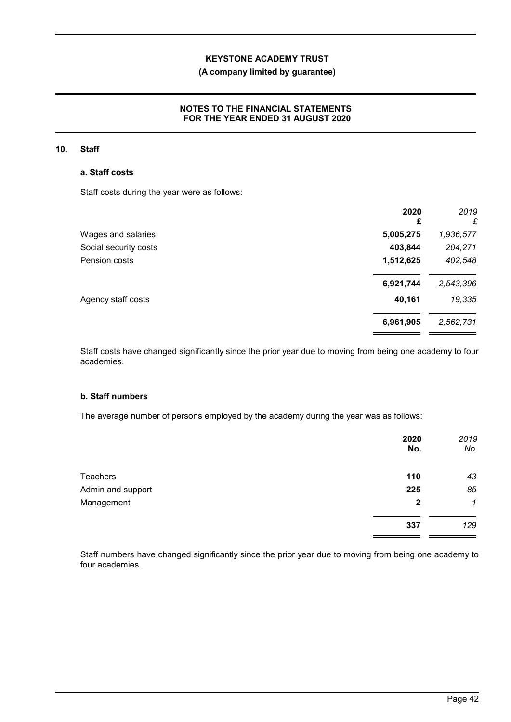## **(A company limited by guarantee)**

## **NOTES TO THE FINANCIAL STATEMENTS FOR THE YEAR ENDED 31 AUGUST 2020**

#### **10. Staff**

#### **a. Staff costs**

Staff costs during the year were as follows:

|                       | 2020<br>£ | 2019<br>£ |
|-----------------------|-----------|-----------|
| Wages and salaries    | 5,005,275 | 1,936,577 |
| Social security costs | 403,844   | 204,271   |
| Pension costs         | 1,512,625 | 402,548   |
|                       | 6,921,744 | 2,543,396 |
| Agency staff costs    | 40,161    | 19,335    |
|                       | 6,961,905 | 2,562,731 |

Staff costs have changed significantly since the prior year due to moving from being one academy to four academies.

## **b. Staff numbers**

The average number of persons employed by the academy during the year was as follows:

|                   | 2020<br>No.  | 2019<br>No.  |
|-------------------|--------------|--------------|
| <b>Teachers</b>   | 110          | 43           |
| Admin and support | 225          | 85           |
| Management        | $\mathbf{2}$ | $\mathcal I$ |
|                   | 337          | 129          |

Staff numbers have changed significantly since the prior year due to moving from being one academy to four academies.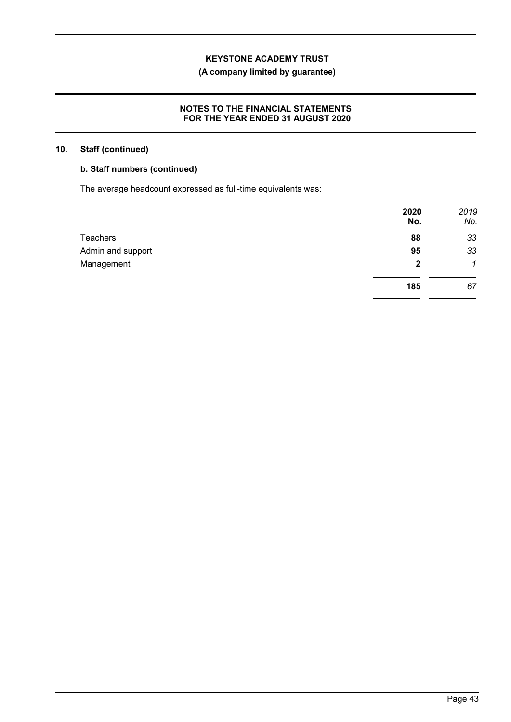## **(A company limited by guarantee)**

## **NOTES TO THE FINANCIAL STATEMENTS FOR THE YEAR ENDED 31 AUGUST 2020**

## **10. Staff (continued)**

## **b. Staff numbers (continued)**

The average headcount expressed as full-time equivalents was:

|                   | 2020<br>No.  | 2019<br>No. |
|-------------------|--------------|-------------|
| Teachers          | 88           | 33          |
| Admin and support | 95           | 33          |
| Management        | $\mathbf{2}$ | $\mathbf 1$ |
|                   | 185          | 67          |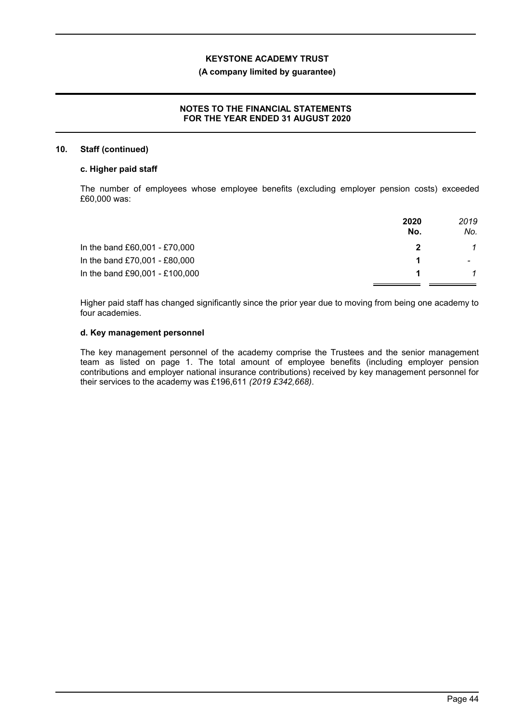#### **(A company limited by guarantee)**

## **NOTES TO THE FINANCIAL STATEMENTS FOR THE YEAR ENDED 31 AUGUST 2020**

#### **10. Staff (continued)**

### **c. Higher paid staff**

The number of employees whose employee benefits (excluding employer pension costs) exceeded £60,000 was:

|                                | 2020<br>No. | 2019<br>No. |
|--------------------------------|-------------|-------------|
| In the band £60,001 - £70,000  |             |             |
| In the band £70,001 - £80,000  |             |             |
| In the band £90,001 - £100,000 |             |             |

Higher paid staff has changed significantly since the prior year due to moving from being one academy to four academies.

### **d. Key management personnel**

The key management personnel of the academy comprise the Trustees and the senior management team as listed on page 1. The total amount of employee benefits (including employer pension contributions and employer national insurance contributions) received by key management personnel for their services to the academy was £196,611 *(2019 £342,668)*.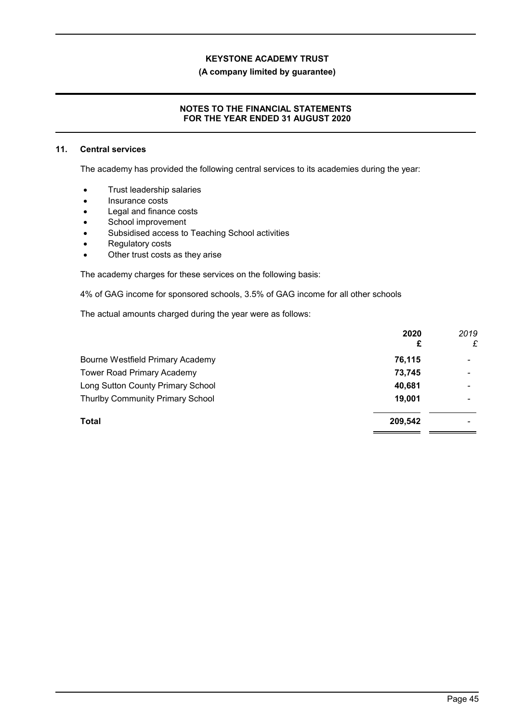#### **(A company limited by guarantee)**

### **NOTES TO THE FINANCIAL STATEMENTS FOR THE YEAR ENDED 31 AUGUST 2020**

#### **11. Central services**

The academy has provided the following central services to its academies during the year:

- **•** Trust leadership salaries
- Insurance costs
- Legal and finance costs
- School improvement
- Subsidised access to Teaching School activities
- Regulatory costs
- Other trust costs as they arise

The academy charges for these services on the following basis:

4% of GAG income for sponsored schools, 3.5% of GAG income for all other schools

The actual amounts charged during the year were as follows:

|                                         | 2020    | 2019            |
|-----------------------------------------|---------|-----------------|
|                                         | £       | £               |
| Bourne Westfield Primary Academy        | 76,115  | $\qquad \qquad$ |
| <b>Tower Road Primary Academy</b>       | 73,745  |                 |
| Long Sutton County Primary School       | 40,681  |                 |
| <b>Thurlby Community Primary School</b> | 19,001  | $\qquad \qquad$ |
| Total                                   | 209,542 |                 |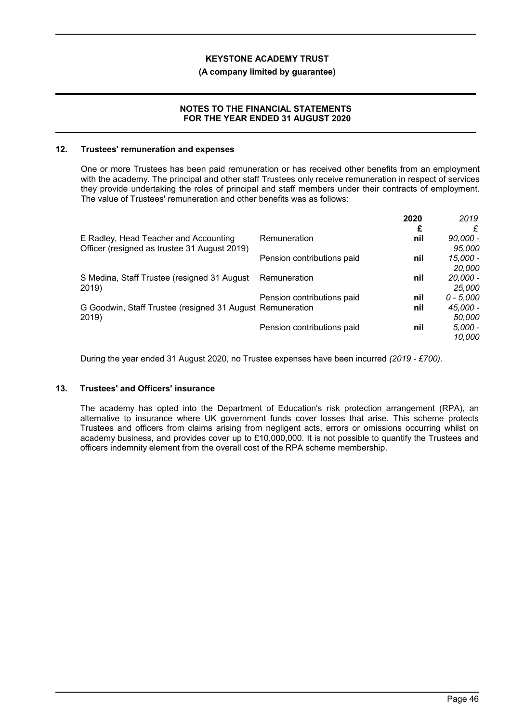#### **(A company limited by guarantee)**

#### **NOTES TO THE FINANCIAL STATEMENTS FOR THE YEAR ENDED 31 AUGUST 2020**

#### **12. Trustees' remuneration and expenses**

One or more Trustees has been paid remuneration or has received other benefits from an employment with the academy. The principal and other staff Trustees only receive remuneration in respect of services they provide undertaking the roles of principal and staff members under their contracts of employment. The value of Trustees' remuneration and other benefits was as follows:

|                                                           |                            | 2020 | 2019        |
|-----------------------------------------------------------|----------------------------|------|-------------|
|                                                           |                            | £    |             |
| E Radley, Head Teacher and Accounting                     | Remuneration               | nil  | $90,000 -$  |
| Officer (resigned as trustee 31 August 2019)              |                            |      | 95,000      |
|                                                           | Pension contributions paid | nil  | 15,000 -    |
|                                                           |                            |      | 20,000      |
| S Medina, Staff Trustee (resigned 31 August               | Remuneration               | nil  | $20,000 -$  |
| 2019)                                                     |                            |      | 25,000      |
|                                                           | Pension contributions paid | nil  | $0 - 5.000$ |
| G Goodwin, Staff Trustee (resigned 31 August Remuneration |                            | nil  | 45,000 -    |
| 2019)                                                     |                            |      | 50,000      |
|                                                           | Pension contributions paid | nil  | 5,000 -     |
|                                                           |                            |      | 10.000      |

During the year ended 31 August 2020, no Trustee expenses have been incurred *(2019 - £700)*.

#### **13. Trustees' and Officers' insurance**

The academy has opted into the Department of Education's risk protection arrangement (RPA), an alternative to insurance where UK government funds cover losses that arise. This scheme protects Trustees and officers from claims arising from negligent acts, errors or omissions occurring whilst on academy business, and provides cover up to £10,000,000. It is not possible to quantify the Trustees and officers indemnity element from the overall cost of the RPA scheme membership.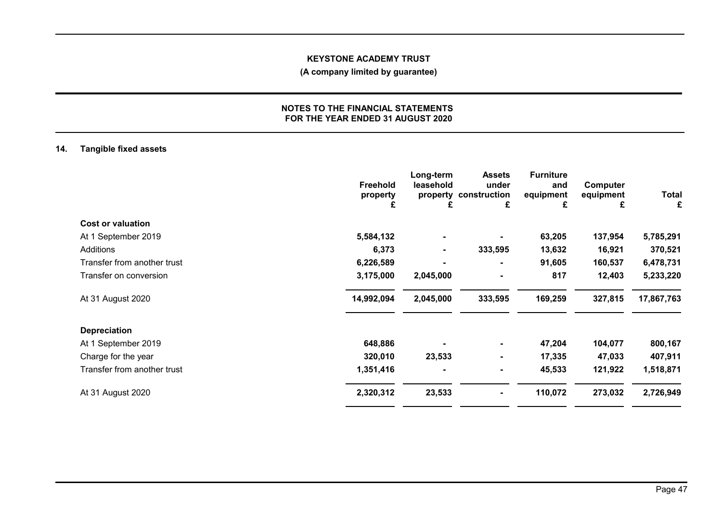## **(A company limited by guarantee)**

#### **NOTES TO THE FINANCIAL STATEMENTS FOR THE YEAR ENDED 31 AUGUST 2020**

## **14. Tangible fixed assets**

|                             | Freehold<br>property<br>£ | Long-term<br>leasehold | <b>Assets</b><br>under<br>property construction<br>£ | <b>Furniture</b><br>and<br>equipment<br>£ | Computer<br>equipment<br>£ | <b>Total</b><br>£ |
|-----------------------------|---------------------------|------------------------|------------------------------------------------------|-------------------------------------------|----------------------------|-------------------|
| <b>Cost or valuation</b>    |                           |                        |                                                      |                                           |                            |                   |
| At 1 September 2019         | 5,584,132                 |                        |                                                      | 63,205                                    | 137,954                    | 5,785,291         |
| Additions                   | 6,373                     | $\blacksquare$         | 333,595                                              | 13,632                                    | 16,921                     | 370,521           |
| Transfer from another trust | 6,226,589                 |                        | $\blacksquare$                                       | 91,605                                    | 160,537                    | 6,478,731         |
| Transfer on conversion      | 3,175,000                 | 2,045,000              | $\blacksquare$                                       | 817                                       | 12,403                     | 5,233,220         |
| At 31 August 2020           | 14,992,094                | 2,045,000              | 333,595                                              | 169,259                                   | 327,815                    | 17,867,763        |
| <b>Depreciation</b>         |                           |                        |                                                      |                                           |                            |                   |
| At 1 September 2019         | 648,886                   |                        | $\blacksquare$                                       | 47,204                                    | 104,077                    | 800,167           |
| Charge for the year         | 320,010                   | 23,533                 | $\blacksquare$                                       | 17,335                                    | 47,033                     | 407,911           |
| Transfer from another trust | 1,351,416                 |                        | $\blacksquare$                                       | 45,533                                    | 121,922                    | 1,518,871         |
| At 31 August 2020           | 2,320,312                 | 23,533                 | $\blacksquare$                                       | 110,072                                   | 273,032                    | 2,726,949         |
|                             |                           |                        |                                                      |                                           |                            |                   |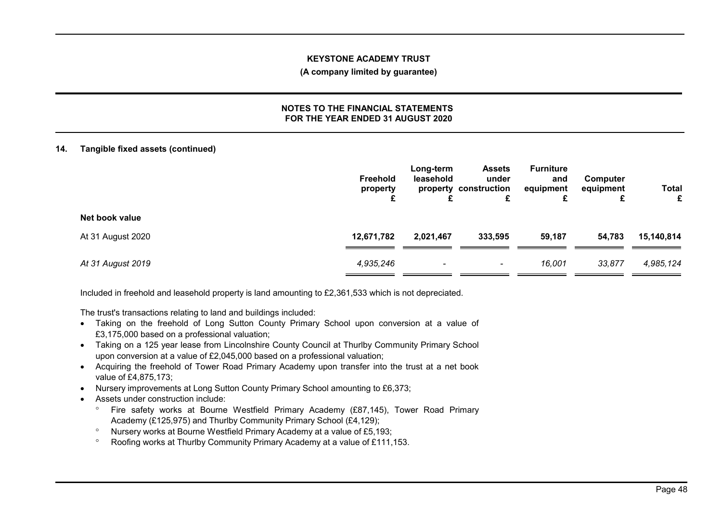#### **(A company limited by guarantee)**

#### **NOTES TO THE FINANCIAL STATEMENTS FOR THE YEAR ENDED 31 AUGUST 2020**

## **14. Tangible fixed assets (continued)**

|                   | Freehold<br>property | Long-term<br>leasehold   | <b>Assets</b><br>under<br>property construction<br>£ | <b>Furniture</b><br>and<br>equipment<br>£ | Computer<br>equipment<br>c | <b>Total</b><br>£ |
|-------------------|----------------------|--------------------------|------------------------------------------------------|-------------------------------------------|----------------------------|-------------------|
| Net book value    |                      |                          |                                                      |                                           |                            |                   |
| At 31 August 2020 | 12,671,782           | 2,021,467                | 333,595                                              | 59,187                                    | 54,783                     | 15,140,814        |
| At 31 August 2019 | 4,935,246            | $\overline{\phantom{a}}$ | $\overline{\phantom{a}}$                             | 16,001                                    | 33,877                     | 4,985,124         |

Included in freehold and leasehold property is land amounting to £2,361,533 which is not depreciated.

The trust's transactions relating to land and buildings included:

- Taking on the freehold of Long Sutton County Primary School upon conversion at a value of £3,175,000 based on a professional valuation;
- Taking on a 125 year lease from Lincolnshire County Council at Thurlby Community Primary School upon conversion at a value of £2,045,000 based on a professional valuation;
- Acquiring the freehold of Tower Road Primary Academy upon transfer into the trust at a net book value of £4,875,173;
- Nursery improvements at Long Sutton County Primary School amounting to £6,373;
- Assets under construction include:
	- Fire safety works at Bourne Westfield Primary Academy (£87,145), Tower Road Primary Academy (£125,975) and Thurlby Community Primary School (£4,129);
	- Nursery works at Bourne Westfield Primary Academy at a value of £5,193;
	- Roofing works at Thurlby Community Primary Academy at a value of £111,153.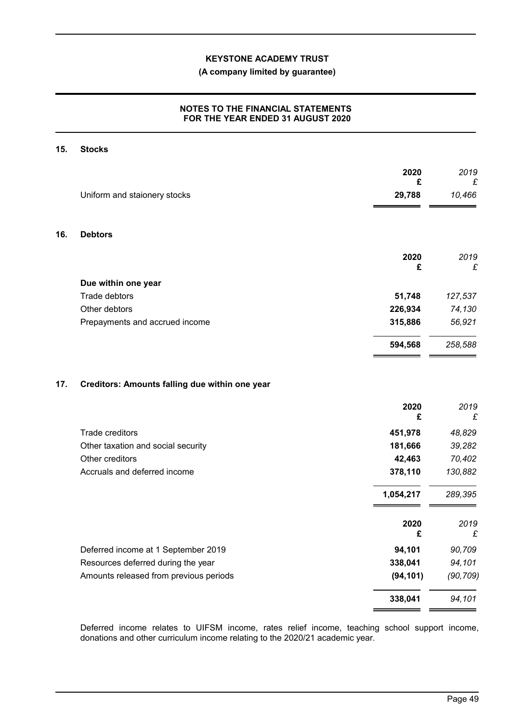## **(A company limited by guarantee)**

## **NOTES TO THE FINANCIAL STATEMENTS FOR THE YEAR ENDED 31 AUGUST 2020**

#### **15. Stocks**

|     |                                                | 2020        | 2019             |
|-----|------------------------------------------------|-------------|------------------|
|     | Uniform and staionery stocks                   | £<br>29,788 | £<br>10,466      |
| 16. | <b>Debtors</b>                                 |             |                  |
|     |                                                | 2020<br>£   | 2019<br>£        |
|     | Due within one year                            |             |                  |
|     | Trade debtors                                  | 51,748      | 127,537          |
|     | Other debtors                                  | 226,934     | 74,130           |
|     | Prepayments and accrued income                 | 315,886     | 56,921           |
|     |                                                | 594,568     | 258,588          |
| 17. | Creditors: Amounts falling due within one year | 2020<br>£   | 2019<br>£        |
|     | Trade creditors                                | 451,978     |                  |
|     | Other taxation and social security             | 181,666     | 48,829<br>39,282 |
|     | Other creditors                                | 42,463      | 70,402           |
|     | Accruals and deferred income                   | 378,110     | 130,882          |
|     |                                                | 1,054,217   | 289,395          |
|     |                                                | 2020        | 2019             |
|     |                                                | £           | £                |
|     | Deferred income at 1 September 2019            | 94,101      | 90,709           |
|     | Resources deferred during the year             | 338,041     | 94,101           |
|     | Amounts released from previous periods         | (94, 101)   | (90, 709)        |
|     |                                                | 338,041     | 94,101           |

Deferred income relates to UIFSM income, rates relief income, teaching school support income, donations and other curriculum income relating to the 2020/21 academic year.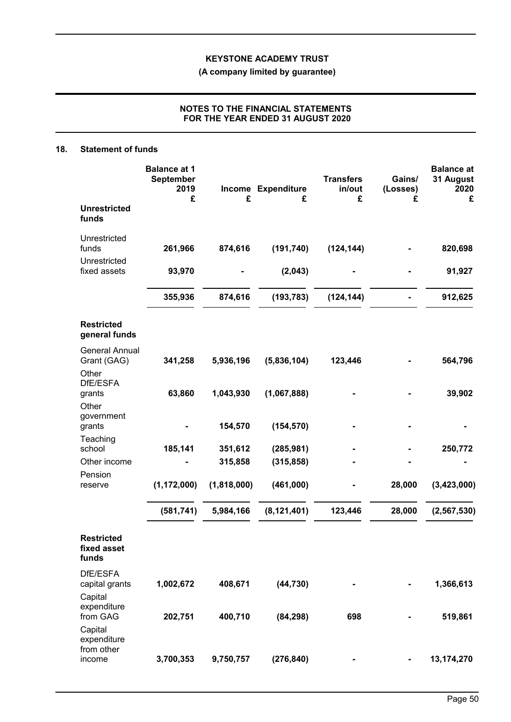**(A company limited by guarantee)**

## **NOTES TO THE FINANCIAL STATEMENTS FOR THE YEAR ENDED 31 AUGUST 2020**

#### **18. Statement of funds**

|                                                              | <b>Balance at 1</b><br><b>September</b><br>2019<br>£ | £           | Income Expenditure<br>£ | <b>Transfers</b><br>in/out<br>£ | Gains/<br>(Losses)<br>£      | <b>Balance at</b><br>31 August<br>2020<br>£ |
|--------------------------------------------------------------|------------------------------------------------------|-------------|-------------------------|---------------------------------|------------------------------|---------------------------------------------|
| <b>Unrestricted</b><br>funds                                 |                                                      |             |                         |                                 |                              |                                             |
| Unrestricted<br>funds                                        | 261,966                                              | 874,616     | (191, 740)              | (124, 144)                      |                              | 820,698                                     |
| Unrestricted<br>fixed assets                                 | 93,970                                               |             | (2,043)                 |                                 |                              | 91,927                                      |
|                                                              | 355,936                                              | 874,616     | (193, 783)              | (124, 144)                      |                              | 912,625                                     |
| <b>Restricted</b><br>general funds                           |                                                      |             |                         |                                 |                              |                                             |
| <b>General Annual</b><br>Grant (GAG)<br>Other                | 341,258                                              | 5,936,196   | (5,836,104)             | 123,446                         |                              | 564,796                                     |
| DfE/ESFA<br>grants<br>Other                                  | 63,860                                               | 1,043,930   | (1,067,888)             |                                 |                              | 39,902                                      |
| government<br>grants                                         |                                                      | 154,570     | (154, 570)              |                                 |                              |                                             |
| Teaching<br>school                                           | 185,141                                              | 351,612     | (285, 981)              |                                 |                              | 250,772                                     |
| Other income                                                 |                                                      | 315,858     | (315, 858)              |                                 |                              |                                             |
| Pension<br>reserve                                           | (1, 172, 000)                                        | (1,818,000) | (461,000)               |                                 | 28,000                       | (3,423,000)                                 |
|                                                              | (581, 741)                                           | 5,984,166   | (8, 121, 401)           | 123,446                         | 28,000                       | (2, 567, 530)                               |
| <b>Restricted</b><br>fixed asset<br>funds                    |                                                      |             |                         |                                 |                              |                                             |
| DfE/ESFA<br>capital grants                                   | 1,002,672                                            | 408,671     | (44, 730)               |                                 |                              | 1,366,613                                   |
| Capital<br>expenditure<br>from GAG<br>Capital<br>expenditure | 202,751                                              | 400,710     | (84, 298)               | 698                             |                              | 519,861                                     |
| from other<br>income                                         | 3,700,353                                            | 9,750,757   | (276, 840)              |                                 | $\qquad \qquad \blacksquare$ | 13,174,270                                  |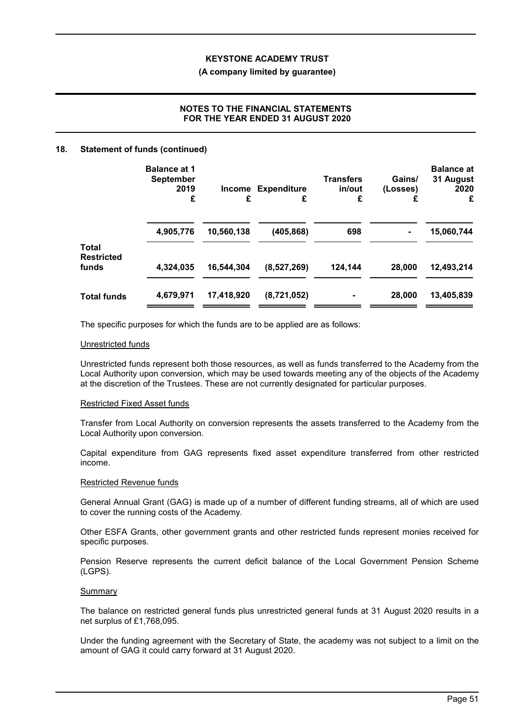#### **(A company limited by guarantee)**

## **NOTES TO THE FINANCIAL STATEMENTS FOR THE YEAR ENDED 31 AUGUST 2020**

#### **18. Statement of funds (continued)**

|                            | <b>Balance at 1</b><br><b>September</b><br>2019<br>£ | £          | <b>Income Expenditure</b><br>£ | <b>Transfers</b><br>in/out<br>£ | Gains/<br>(Losses)<br>£ | <b>Balance at</b><br>31 August<br>2020<br>£ |
|----------------------------|------------------------------------------------------|------------|--------------------------------|---------------------------------|-------------------------|---------------------------------------------|
| <b>Total</b>               | 4,905,776                                            | 10,560,138 | (405, 868)                     | 698                             | $\blacksquare$          | 15,060,744                                  |
| <b>Restricted</b><br>funds | 4,324,035                                            | 16,544,304 | (8,527,269)                    | 124,144                         | 28,000                  | 12,493,214                                  |
| <b>Total funds</b>         | 4,679,971                                            | 17,418,920 | (8,721,052)                    |                                 | 28,000                  | 13,405,839                                  |

The specific purposes for which the funds are to be applied are as follows:

#### Unrestricted funds

Unrestricted funds represent both those resources, as well as funds transferred to the Academy from the Local Authority upon conversion, which may be used towards meeting any of the objects of the Academy at the discretion of the Trustees. These are not currently designated for particular purposes.

#### Restricted Fixed Asset funds

Transfer from Local Authority on conversion represents the assets transferred to the Academy from the Local Authority upon conversion.

Capital expenditure from GAG represents fixed asset expenditure transferred from other restricted income.

#### Restricted Revenue funds

General Annual Grant (GAG) is made up of a number of different funding streams, all of which are used to cover the running costs of the Academy.

Other ESFA Grants, other government grants and other restricted funds represent monies received for specific purposes.

Pension Reserve represents the current deficit balance of the Local Government Pension Scheme (LGPS).

#### **Summary**

The balance on restricted general funds plus unrestricted general funds at 31 August 2020 results in a net surplus of £1,768,095.

Under the funding agreement with the Secretary of State, the academy was not subject to a limit on the amount of GAG it could carry forward at 31 August 2020.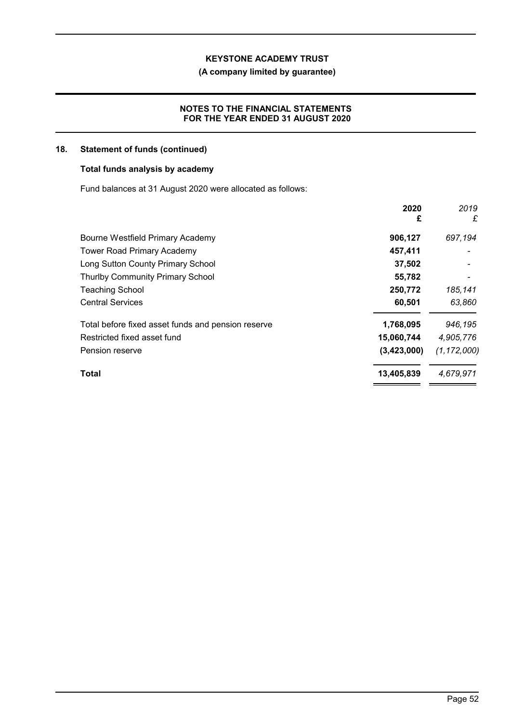## **(A company limited by guarantee)**

## **NOTES TO THE FINANCIAL STATEMENTS FOR THE YEAR ENDED 31 AUGUST 2020**

## **18. Statement of funds (continued)**

#### **Total funds analysis by academy**

Fund balances at 31 August 2020 were allocated as follows:

|                                                    | 2020<br>£   | 2019<br>£     |
|----------------------------------------------------|-------------|---------------|
| Bourne Westfield Primary Academy                   | 906,127     | 697,194       |
| <b>Tower Road Primary Academy</b>                  | 457,411     |               |
| Long Sutton County Primary School                  | 37,502      |               |
| <b>Thurlby Community Primary School</b>            | 55,782      |               |
| <b>Teaching School</b>                             | 250,772     | 185,141       |
| <b>Central Services</b>                            | 60,501      | 63,860        |
| Total before fixed asset funds and pension reserve | 1,768,095   | 946,195       |
| Restricted fixed asset fund                        | 15,060,744  | 4,905,776     |
| Pension reserve                                    | (3,423,000) | (1, 172, 000) |
| Total                                              | 13,405,839  | 4,679,971     |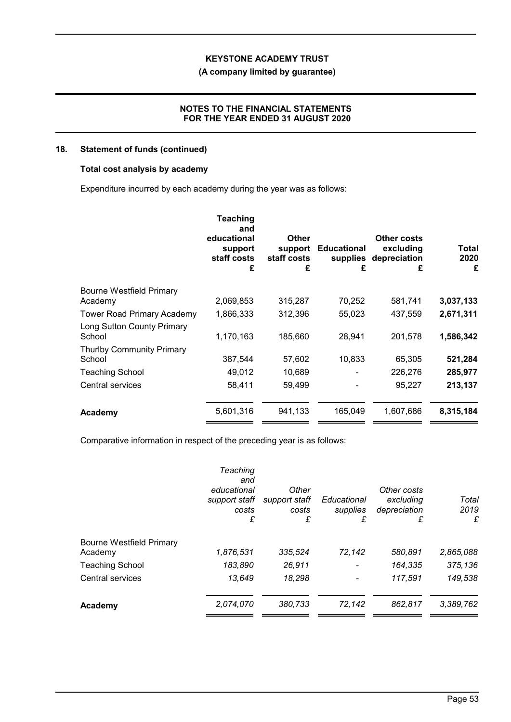## **(A company limited by guarantee)**

## **NOTES TO THE FINANCIAL STATEMENTS FOR THE YEAR ENDED 31 AUGUST 2020**

## **18. Statement of funds (continued)**

## **Total cost analysis by academy**

Expenditure incurred by each academy during the year was as follows:

|                                      | <b>Teaching</b><br>and<br>educational<br>support<br>staff costs<br>£ | <b>Other</b><br>support<br>staff costs<br>£ | <b>Educational</b><br>supplies<br>£ | Other costs<br>excluding<br>depreciation<br>£ | Total<br>2020<br>£ |
|--------------------------------------|----------------------------------------------------------------------|---------------------------------------------|-------------------------------------|-----------------------------------------------|--------------------|
| Bourne Westfield Primary             |                                                                      |                                             |                                     |                                               |                    |
| Academy                              | 2,069,853                                                            | 315,287                                     | 70,252                              | 581,741                                       | 3,037,133          |
| Tower Road Primary Academy           | 1,866,333                                                            | 312,396                                     | 55,023                              | 437,559                                       | 2,671,311          |
| Long Sutton County Primary<br>School | 1,170,163                                                            | 185,660                                     | 28,941                              | 201,578                                       | 1,586,342          |
| <b>Thurlby Community Primary</b>     |                                                                      |                                             |                                     |                                               |                    |
| School                               | 387,544                                                              | 57,602                                      | 10,833                              | 65,305                                        | 521,284            |
| <b>Teaching School</b>               | 49,012                                                               | 10,689                                      |                                     | 226,276                                       | 285,977            |
| Central services                     | 58,411                                                               | 59,499                                      |                                     | 95,227                                        | 213,137            |
| Academy                              | 5,601,316                                                            | 941,133                                     | 165,049                             | 1,607,686                                     | 8,315,184          |

Comparative information in respect of the preceding year is as follows:

|                          | Teaching<br>and<br>educational<br>support staff<br>costs<br>£ | Other<br>support staff<br>costs<br>£ | Educational<br>supplies<br>£ | Other costs<br>excluding<br>depreciation<br>£ | Total<br>2019<br>£ |
|--------------------------|---------------------------------------------------------------|--------------------------------------|------------------------------|-----------------------------------------------|--------------------|
| Bourne Westfield Primary |                                                               |                                      |                              |                                               |                    |
| Academy                  | 1,876,531                                                     | 335,524                              | 72,142                       | 580,891                                       | 2,865,088          |
| <b>Teaching School</b>   | 183,890                                                       | 26,911                               |                              | 164,335                                       | 375,136            |
| Central services         | 13,649                                                        | 18,298                               |                              | 117,591                                       | 149,538            |
| Academy                  | 2,074,070                                                     | 380,733                              | 72,142                       | 862,817                                       | 3,389,762          |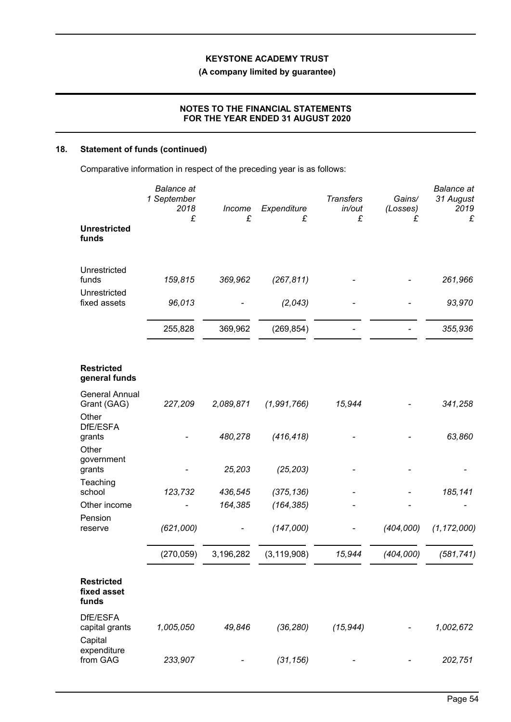## **(A company limited by guarantee)**

## **NOTES TO THE FINANCIAL STATEMENTS FOR THE YEAR ENDED 31 AUGUST 2020**

## **18. Statement of funds (continued)**

Comparative information in respect of the preceding year is as follows:

|                                           | <b>Balance</b> at<br>1 September<br>2018<br>£ | Income<br>£ | Expenditure<br>£ | <b>Transfers</b><br>in/out<br>£ | Gains/<br>(Losses)<br>£ | <b>Balance</b> at<br>31 August<br>2019<br>£ |
|-------------------------------------------|-----------------------------------------------|-------------|------------------|---------------------------------|-------------------------|---------------------------------------------|
| <b>Unrestricted</b><br>funds              |                                               |             |                  |                                 |                         |                                             |
| Unrestricted<br>funds                     | 159,815                                       | 369,962     | (267, 811)       |                                 |                         | 261,966                                     |
| Unrestricted<br>fixed assets              | 96,013                                        |             | (2,043)          |                                 |                         | 93,970                                      |
|                                           | 255,828                                       | 369,962     | (269, 854)       |                                 |                         | 355,936                                     |
| <b>Restricted</b><br>general funds        |                                               |             |                  |                                 |                         |                                             |
| <b>General Annual</b><br>Grant (GAG)      | 227,209                                       | 2,089,871   | (1,991,766)      | 15,944                          |                         | 341,258                                     |
| Other<br>DfE/ESFA<br>grants<br>Other      |                                               | 480,278     | (416, 418)       |                                 |                         | 63,860                                      |
| government<br>grants                      |                                               | 25,203      | (25, 203)        |                                 |                         |                                             |
| Teaching<br>school                        | 123,732                                       | 436,545     | (375, 136)       |                                 |                         | 185,141                                     |
| Other income                              |                                               | 164,385     | (164, 385)       |                                 |                         |                                             |
| Pension<br>reserve                        | (621,000)                                     |             | (147,000)        |                                 | (404,000)               | (1, 172, 000)                               |
|                                           | (270, 059)                                    | 3,196,282   | (3, 119, 908)    | 15,944                          | (404,000)               | (581, 741)                                  |
| <b>Restricted</b><br>fixed asset<br>funds |                                               |             |                  |                                 |                         |                                             |
| DfE/ESFA<br>capital grants<br>Capital     | 1,005,050                                     | 49,846      | (36, 280)        | (15, 944)                       |                         | 1,002,672                                   |
| expenditure<br>from GAG                   | 233,907                                       |             | (31, 156)        |                                 |                         | 202,751                                     |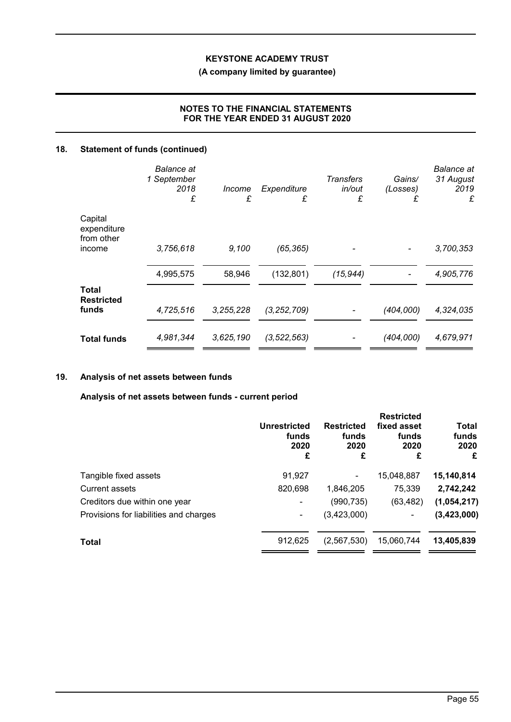**(A company limited by guarantee)**

## **NOTES TO THE FINANCIAL STATEMENTS FOR THE YEAR ENDED 31 AUGUST 2020**

## **18. Statement of funds (continued)**

|                                      | <b>Balance</b> at<br>1 September<br>2018<br>£ | Income<br>£ | Expenditure<br>£ | <b>Transfers</b><br>in/out<br>£ | Gains/<br>(Losses)<br>£ | <b>Balance</b> at<br>31 August<br>2019<br>£ |
|--------------------------------------|-----------------------------------------------|-------------|------------------|---------------------------------|-------------------------|---------------------------------------------|
| Capital<br>expenditure<br>from other |                                               |             |                  |                                 |                         |                                             |
| income                               | 3,756,618                                     | 9,100       | (65, 365)        |                                 |                         | 3,700,353                                   |
|                                      | 4,995,575                                     | 58,946      | (132, 801)       | (15, 944)                       |                         | 4,905,776                                   |
| Total<br><b>Restricted</b>           |                                               |             |                  |                                 |                         |                                             |
| funds                                | 4,725,516                                     | 3,255,228   | (3, 252, 709)    |                                 | (404,000)               | 4,324,035                                   |
| <b>Total funds</b>                   | 4,981,344                                     | 3,625,190   | (3, 522, 563)    |                                 | (404,000)               | 4,679,971                                   |

## **19. Analysis of net assets between funds**

**Analysis of net assets between funds - current period**

|                                        | Unrestricted<br>funds<br>2020<br>£ | <b>Restricted</b><br>funds<br>2020<br>£ | <b>Restricted</b><br>fixed asset<br>funds<br>2020<br>£ | <b>Total</b><br>funds<br>2020<br>£ |
|----------------------------------------|------------------------------------|-----------------------------------------|--------------------------------------------------------|------------------------------------|
| Tangible fixed assets                  | 91,927                             |                                         | 15,048,887                                             | 15,140,814                         |
| Current assets                         | 820,698                            | 1,846,205                               | 75,339                                                 | 2,742,242                          |
| Creditors due within one year          |                                    | (990, 735)                              | (63, 482)                                              | (1,054,217)                        |
| Provisions for liabilities and charges | ۰                                  | (3,423,000)                             | $\blacksquare$                                         | (3,423,000)                        |
| <b>Total</b>                           | 912,625                            | (2,567,530)                             | 15,060,744                                             | 13,405,839                         |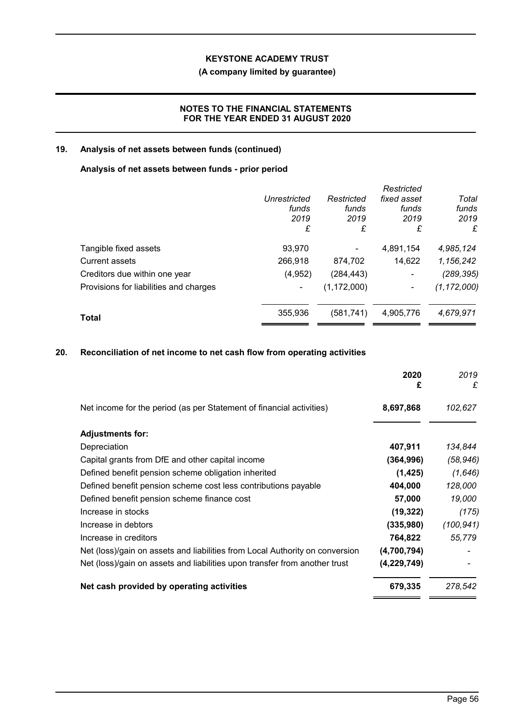## **(A company limited by guarantee)**

## **NOTES TO THE FINANCIAL STATEMENTS FOR THE YEAR ENDED 31 AUGUST 2020**

## **19. Analysis of net assets between funds (continued)**

### **Analysis of net assets between funds - prior period**

|                                        |              |               | Restricted  |               |
|----------------------------------------|--------------|---------------|-------------|---------------|
|                                        | Unrestricted | Restricted    | fixed asset | Total         |
|                                        | funds        | funds         | funds       | funds         |
|                                        | 2019         | 2019          | 2019        | 2019          |
|                                        | £            | £             | £           | £             |
| Tangible fixed assets                  | 93,970       |               | 4,891,154   | 4,985,124     |
| Current assets                         | 266,918      | 874,702       | 14,622      | 1,156,242     |
| Creditors due within one year          | (4, 952)     | (284, 443)    | ٠           | (289, 395)    |
| Provisions for liabilities and charges | ٠            | (1, 172, 000) |             | (1, 172, 000) |
| Total                                  | 355,936      | (581, 741)    | 4,905,776   | 4,679,971     |
|                                        |              |               |             |               |

## **20. Reconciliation of net income to net cash flow from operating activities**

|                                                                              | 2020<br>£     | 2019<br>£  |
|------------------------------------------------------------------------------|---------------|------------|
| Net income for the period (as per Statement of financial activities)         | 8,697,868     | 102,627    |
| <b>Adjustments for:</b>                                                      |               |            |
| Depreciation                                                                 | 407,911       | 134,844    |
| Capital grants from DfE and other capital income                             | (364, 996)    | (58, 946)  |
| Defined benefit pension scheme obligation inherited                          | (1, 425)      | (1,646)    |
| Defined benefit pension scheme cost less contributions payable               | 404,000       | 128,000    |
| Defined benefit pension scheme finance cost                                  | 57,000        | 19,000     |
| Increase in stocks                                                           | (19, 322)     | (175)      |
| Increase in debtors                                                          | (335,980)     | (100, 941) |
| Increase in creditors                                                        | 764,822       | 55,779     |
| Net (loss)/gain on assets and liabilities from Local Authority on conversion | (4,700,794)   |            |
| Net (loss)/gain on assets and liabilities upon transfer from another trust   | (4, 229, 749) |            |
| Net cash provided by operating activities                                    | 679,335       | 278,542    |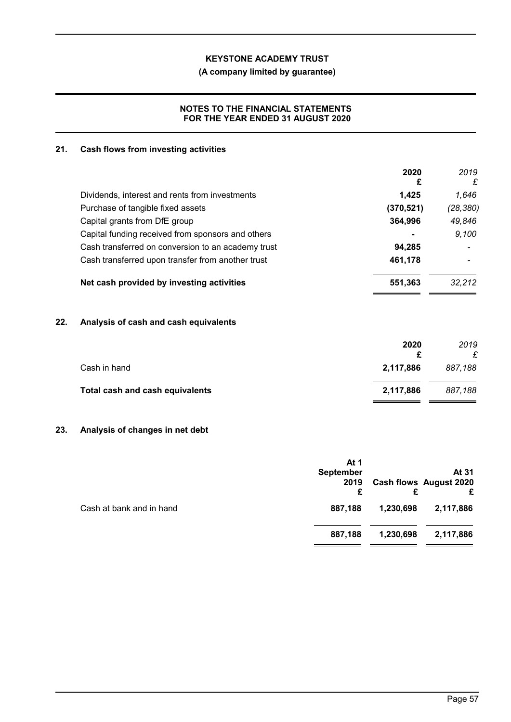## **(A company limited by guarantee)**

## **NOTES TO THE FINANCIAL STATEMENTS FOR THE YEAR ENDED 31 AUGUST 2020**

### **21. Cash flows from investing activities**

|                                                    | 2020<br>£  | 2019<br>£ |
|----------------------------------------------------|------------|-----------|
| Dividends, interest and rents from investments     | 1,425      | 1.646     |
| Purchase of tangible fixed assets                  | (370, 521) | (28, 380) |
| Capital grants from DfE group                      | 364,996    | 49,846    |
| Capital funding received from sponsors and others  |            | 9,100     |
| Cash transferred on conversion to an academy trust | 94,285     |           |
| Cash transferred upon transfer from another trust  | 461,178    |           |
| Net cash provided by investing activities          | 551,363    | 32.212    |
|                                                    |            |           |

## **22. Analysis of cash and cash equivalents**

|                                 | 2020      | 2019    |
|---------------------------------|-----------|---------|
| Cash in hand                    | 2,117,886 | 887,188 |
| Total cash and cash equivalents | 2,117,886 | 887.188 |

## **23. Analysis of changes in net debt**

|                          | At 1<br><b>September</b><br>2019<br>£ |           | At 31<br><b>Cash flows August 2020</b><br>£ |
|--------------------------|---------------------------------------|-----------|---------------------------------------------|
| Cash at bank and in hand | 887,188                               | 1,230,698 | 2,117,886                                   |
|                          | 887,188                               | 1,230,698 | 2,117,886                                   |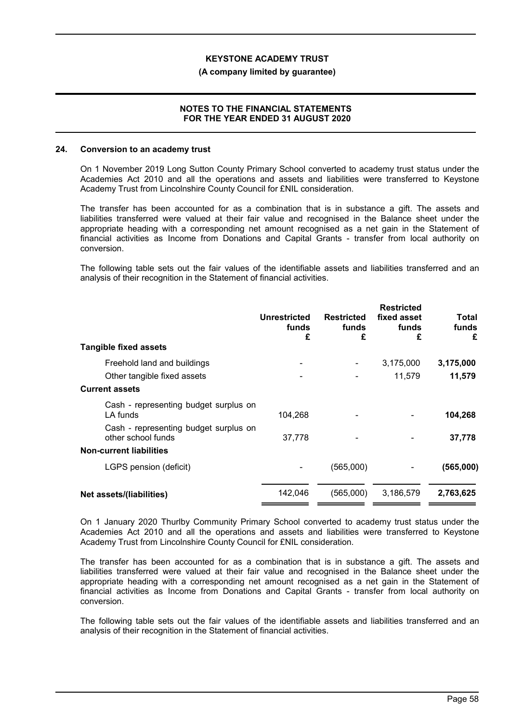#### **(A company limited by guarantee)**

#### **NOTES TO THE FINANCIAL STATEMENTS FOR THE YEAR ENDED 31 AUGUST 2020**

#### **24. Conversion to an academy trust**

On 1 November 2019 Long Sutton County Primary School converted to academy trust status under the Academies Act 2010 and all the operations and assets and liabilities were transferred to Keystone Academy Trust from Lincolnshire County Council for £NIL consideration.

The transfer has been accounted for as a combination that is in substance a gift. The assets and liabilities transferred were valued at their fair value and recognised in the Balance sheet under the appropriate heading with a corresponding net amount recognised as a net gain in the Statement of financial activities as Income from Donations and Capital Grants - transfer from local authority on conversion.

The following table sets out the fair values of the identifiable assets and liabilities transferred and an analysis of their recognition in the Statement of financial activities.

|                                                             | <b>Unrestricted</b><br>funds<br>£ | <b>Restricted</b><br>funds<br>£ | <b>Restricted</b><br>fixed asset<br>funds<br>£ | Total<br>funds<br>£ |
|-------------------------------------------------------------|-----------------------------------|---------------------------------|------------------------------------------------|---------------------|
| <b>Tangible fixed assets</b>                                |                                   |                                 |                                                |                     |
| Freehold land and buildings                                 |                                   |                                 | 3,175,000                                      | 3,175,000           |
| Other tangible fixed assets                                 |                                   |                                 | 11,579                                         | 11,579              |
| <b>Current assets</b>                                       |                                   |                                 |                                                |                     |
| Cash - representing budget surplus on<br>LA funds           | 104.268                           |                                 |                                                | 104,268             |
| Cash - representing budget surplus on<br>other school funds | 37,778                            |                                 |                                                | 37,778              |
| <b>Non-current liabilities</b>                              |                                   |                                 |                                                |                     |
| LGPS pension (deficit)                                      |                                   | (565,000)                       |                                                | (565,000)           |
| Net assets/(liabilities)                                    | 142,046                           | (565,000)                       | 3,186,579                                      | 2,763,625           |

On 1 January 2020 Thurlby Community Primary School converted to academy trust status under the Academies Act 2010 and all the operations and assets and liabilities were transferred to Keystone Academy Trust from Lincolnshire County Council for £NIL consideration.

The transfer has been accounted for as a combination that is in substance a gift. The assets and liabilities transferred were valued at their fair value and recognised in the Balance sheet under the appropriate heading with a corresponding net amount recognised as a net gain in the Statement of financial activities as Income from Donations and Capital Grants - transfer from local authority on conversion.

The following table sets out the fair values of the identifiable assets and liabilities transferred and an analysis of their recognition in the Statement of financial activities.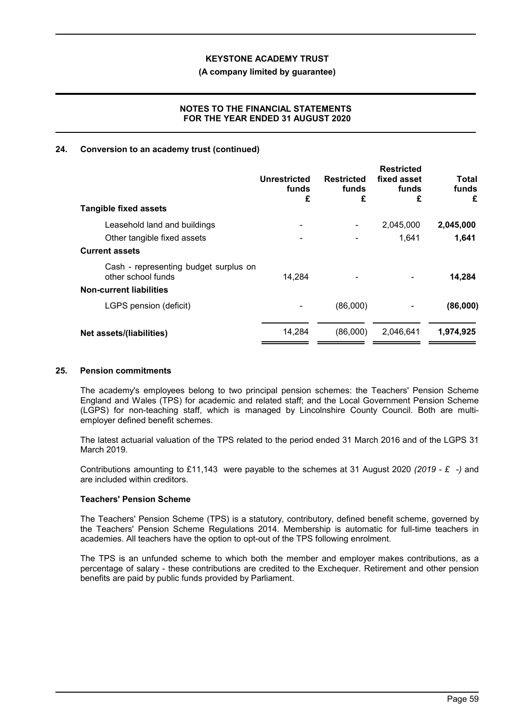#### **(A company limited by guarantee)**

#### **NOTES TO THE FINANCIAL STATEMENTS FOR THE YEAR ENDED 31 AUGUST 2020**

#### **24. Conversion to an academy trust (continued)**

| Unrestricted<br>funds<br>£                      | <b>Restricted</b><br>funds<br>£ | <b>Restricted</b><br>fixed asset<br>funds<br>£ | Total<br>funds<br>£ |
|-------------------------------------------------|---------------------------------|------------------------------------------------|---------------------|
|                                                 |                                 |                                                |                     |
|                                                 |                                 | 2,045,000                                      | 2,045,000           |
|                                                 |                                 | 1,641                                          | 1,641               |
|                                                 |                                 |                                                |                     |
| Cash - representing budget surplus on<br>14,284 |                                 |                                                | 14,284              |
|                                                 |                                 |                                                |                     |
|                                                 | (86,000)                        |                                                | (86,000)            |
| 14,284                                          | (86,000)                        | 2,046,641                                      | 1,974,925           |
|                                                 |                                 |                                                |                     |

#### **25. Pension commitments**

The academy's employees belong to two principal pension schemes: the Teachers' Pension Scheme England and Wales (TPS) for academic and related staff; and the Local Government Pension Scheme (LGPS) for non-teaching staff, which is managed by Lincolnshire County Council. Both are multiemployer defined benefit schemes.

The latest actuarial valuation of the TPS related to the period ended 31 March 2016 and of the LGPS 31 March 2019.

Contributions amounting to £11,143 were payable to the schemes at 31 August 2020 *(2019 - £ -)* and are included within creditors.

#### **Teachers' Pension Scheme**

The Teachers' Pension Scheme (TPS) is a statutory, contributory, defined benefit scheme, governed by the Teachers' Pension Scheme Regulations 2014. Membership is automatic for full-time teachers in academies. All teachers have the option to opt-out of the TPS following enrolment.

The TPS is an unfunded scheme to which both the member and employer makes contributions, as a percentage of salary - these contributions are credited to the Exchequer. Retirement and other pension benefits are paid by public funds provided by Parliament.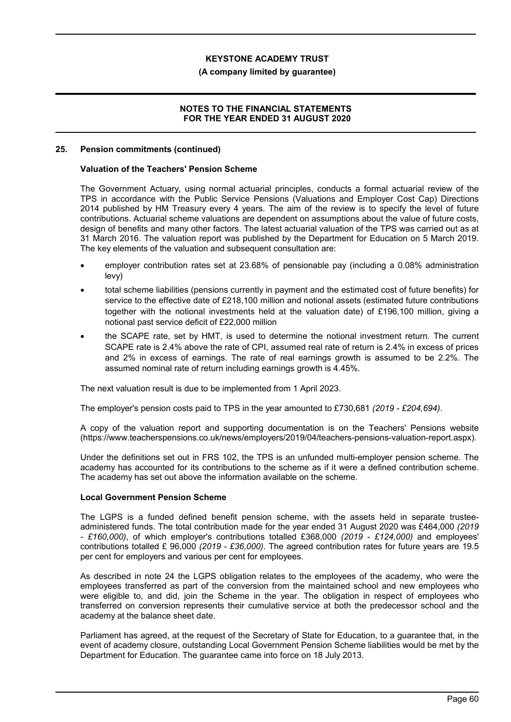#### **(A company limited by guarantee)**

#### **NOTES TO THE FINANCIAL STATEMENTS FOR THE YEAR ENDED 31 AUGUST 2020**

#### **25. Pension commitments (continued)**

#### **Valuation of the Teachers' Pension Scheme**

The Government Actuary, using normal actuarial principles, conducts a formal actuarial review of the TPS in accordance with the Public Service Pensions (Valuations and Employer Cost Cap) Directions 2014 published by HM Treasury every 4 years. The aim of the review is to specify the level of future contributions. Actuarial scheme valuations are dependent on assumptions about the value of future costs, design of benefits and many other factors. The latest actuarial valuation of the TPS was carried out as at 31 March 2016. The valuation report was published by the Department for Education on 5 March 2019. The key elements of the valuation and subsequent consultation are:

- employer contribution rates set at 23.68% of pensionable pay (including a 0.08% administration levy)
- total scheme liabilities (pensions currently in payment and the estimated cost of future benefits) for service to the effective date of £218,100 million and notional assets (estimated future contributions together with the notional investments held at the valuation date) of £196,100 million, giving a notional past service deficit of £22,000 million
- the SCAPE rate, set by HMT, is used to determine the notional investment return. The current SCAPE rate is 2.4% above the rate of CPI, assumed real rate of return is 2.4% in excess of prices and 2% in excess of earnings. The rate of real earnings growth is assumed to be 2.2%. The assumed nominal rate of return including earnings growth is 4.45%.

The next valuation result is due to be implemented from 1 April 2023.

The employer's pension costs paid to TPS in the year amounted to £730,681 *(2019 - £204,694)*.

A copy of the valuation report and supporting documentation is on the Teachers' Pensions website (https://www.teacherspensions.co.uk/news/employers/2019/04/teachers-pensions-valuation-report.aspx).

Under the definitions set out in FRS 102, the TPS is an unfunded multi-employer pension scheme. The academy has accounted for its contributions to the scheme as if it were a defined contribution scheme. The academy has set out above the information available on the scheme.

#### **Local Government Pension Scheme**

The LGPS is a funded defined benefit pension scheme, with the assets held in separate trusteeadministered funds. The total contribution made for the year ended 31 August 2020 was £464,000 *(2019 - £160,000)*, of which employer's contributions totalled £368,000 *(2019 - £124,000)* and employees' contributions totalled £ 96,000 *(2019 - £36,000)*. The agreed contribution rates for future years are 19.5 per cent for employers and various per cent for employees.

As described in note 24 the LGPS obligation relates to the employees of the academy, who were the employees transferred as part of the conversion from the maintained school and new employees who were eligible to, and did, join the Scheme in the year. The obligation in respect of employees who transferred on conversion represents their cumulative service at both the predecessor school and the academy at the balance sheet date.

Parliament has agreed, at the request of the Secretary of State for Education, to a guarantee that, in the event of academy closure, outstanding Local Government Pension Scheme liabilities would be met by the Department for Education. The guarantee came into force on 18 July 2013.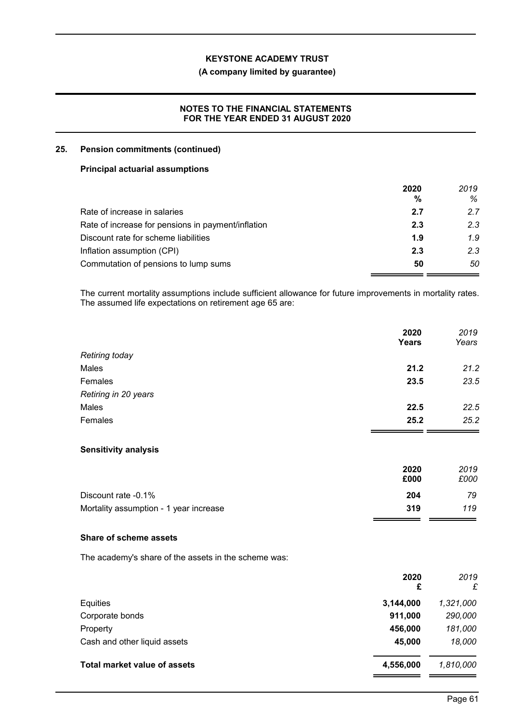### **(A company limited by guarantee)**

## **NOTES TO THE FINANCIAL STATEMENTS FOR THE YEAR ENDED 31 AUGUST 2020**

## **25. Pension commitments (continued)**

#### **Principal actuarial assumptions**

|                                                    | 2020 | 2019 |
|----------------------------------------------------|------|------|
|                                                    | %    | %    |
| Rate of increase in salaries                       | 2.7  | 2.7  |
| Rate of increase for pensions in payment/inflation | 2.3  | 2.3  |
| Discount rate for scheme liabilities               | 1.9  | 1.9  |
| Inflation assumption (CPI)                         | 2.3  | 2.3  |
| Commutation of pensions to lump sums               | 50   | 50   |

The current mortality assumptions include sufficient allowance for future improvements in mortality rates. The assumed life expectations on retirement age 65 are:

|                      | 2020<br><b>Years</b> | 2019<br>Years |
|----------------------|----------------------|---------------|
| Retiring today       |                      |               |
| Males                | 21.2                 | 21.2          |
| Females              | 23.5                 | 23.5          |
| Retiring in 20 years |                      |               |
| Males                | 22.5                 | 22.5          |
| Females              | 25.2                 | 25.2          |
|                      |                      |               |

#### **Sensitivity analysis**

|                                        | 2020 | 2019 |
|----------------------------------------|------|------|
|                                        | £000 | £000 |
| Discount rate -0.1%                    | 204  | 79   |
| Mortality assumption - 1 year increase | 319  | 119  |

## **Share of scheme assets**

The academy's share of the assets in the scheme was:

|                                     | 2020<br>£ | 2019<br>£ |
|-------------------------------------|-----------|-----------|
| Equities                            | 3,144,000 | 1,321,000 |
| Corporate bonds                     | 911,000   | 290,000   |
| Property                            | 456,000   | 181,000   |
| Cash and other liquid assets        | 45,000    | 18,000    |
| <b>Total market value of assets</b> | 4,556,000 | 1,810,000 |
|                                     |           |           |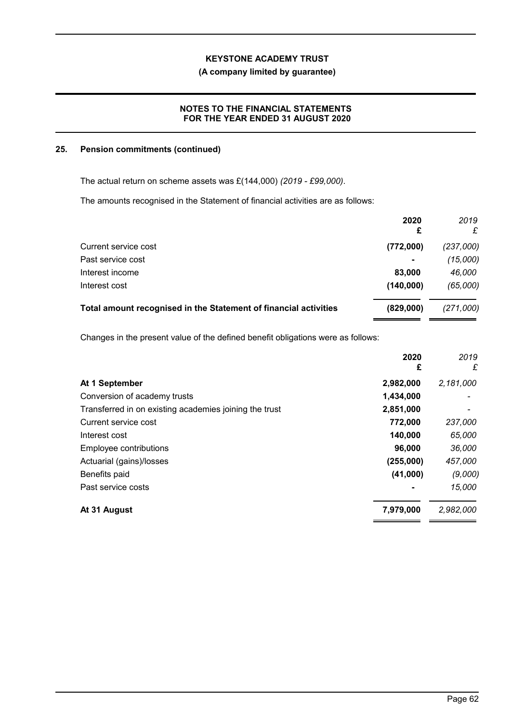## **(A company limited by guarantee)**

## **NOTES TO THE FINANCIAL STATEMENTS FOR THE YEAR ENDED 31 AUGUST 2020**

#### **25. Pension commitments (continued)**

The actual return on scheme assets was £(144,000) *(2019 - £99,000)*.

The amounts recognised in the Statement of financial activities are as follows:

|                                                                  | 2020<br>£      | 2019<br>£ |
|------------------------------------------------------------------|----------------|-----------|
| Current service cost                                             | (772,000)      | (237,000) |
| Past service cost                                                | $\blacksquare$ | (15,000)  |
| Interest income                                                  | 83,000         | 46,000    |
| Interest cost                                                    | (140,000)      | (65,000)  |
| Total amount recognised in the Statement of financial activities | (829,000)      | (271,000) |

Changes in the present value of the defined benefit obligations were as follows:

|                                                        | 2020<br>£ | 2019<br>£ |
|--------------------------------------------------------|-----------|-----------|
| At 1 September                                         | 2,982,000 | 2,181,000 |
| Conversion of academy trusts                           | 1,434,000 |           |
| Transferred in on existing academies joining the trust | 2,851,000 |           |
| Current service cost                                   | 772,000   | 237,000   |
| Interest cost                                          | 140,000   | 65,000    |
| Employee contributions                                 | 96,000    | 36,000    |
| Actuarial (gains)/losses                               | (255,000) | 457,000   |
| Benefits paid                                          | (41,000)  | (9,000)   |
| Past service costs                                     |           | 15,000    |
| At 31 August                                           | 7,979,000 | 2,982,000 |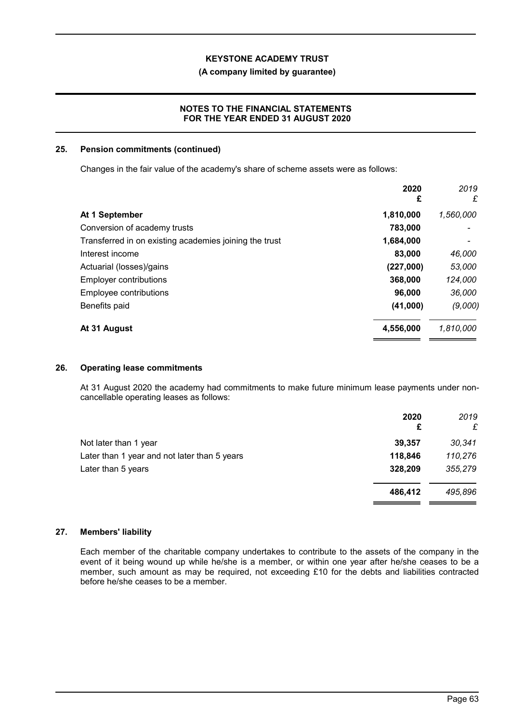#### **(A company limited by guarantee)**

### **NOTES TO THE FINANCIAL STATEMENTS FOR THE YEAR ENDED 31 AUGUST 2020**

#### **25. Pension commitments (continued)**

Changes in the fair value of the academy's share of scheme assets were as follows:

|                                                        | 2020<br>£ | 2019<br>£ |
|--------------------------------------------------------|-----------|-----------|
| At 1 September                                         | 1,810,000 | 1,560,000 |
| Conversion of academy trusts                           | 783,000   |           |
| Transferred in on existing academies joining the trust | 1,684,000 |           |
| Interest income                                        | 83,000    | 46,000    |
| Actuarial (losses)/gains                               | (227,000) | 53,000    |
| <b>Employer contributions</b>                          | 368,000   | 124,000   |
| <b>Employee contributions</b>                          | 96,000    | 36,000    |
| Benefits paid                                          | (41,000)  | (9,000)   |
| At 31 August                                           | 4,556,000 | 1,810,000 |

#### **26. Operating lease commitments**

At 31 August 2020 the academy had commitments to make future minimum lease payments under noncancellable operating leases as follows:

| 2020<br>£ | 2019<br>£ |
|-----------|-----------|
| 39,357    | 30,341    |
| 118,846   | 110,276   |
| 328,209   | 355,279   |
| 486,412   | 495,896   |
|           |           |

## **27. Members' liability**

Each member of the charitable company undertakes to contribute to the assets of the company in the event of it being wound up while he/she is a member, or within one year after he/she ceases to be a member, such amount as may be required, not exceeding £10 for the debts and liabilities contracted before he/she ceases to be a member.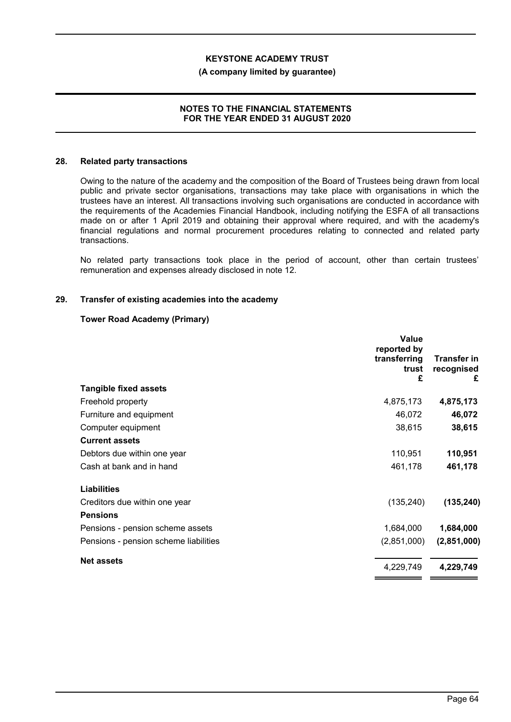#### **(A company limited by guarantee)**

#### **NOTES TO THE FINANCIAL STATEMENTS FOR THE YEAR ENDED 31 AUGUST 2020**

#### **28. Related party transactions**

Owing to the nature of the academy and the composition of the Board of Trustees being drawn from local public and private sector organisations, transactions may take place with organisations in which the trustees have an interest. All transactions involving such organisations are conducted in accordance with the requirements of the Academies Financial Handbook, including notifying the ESFA of all transactions made on or after 1 April 2019 and obtaining their approval where required, and with the academy's financial regulations and normal procurement procedures relating to connected and related party transactions.

No related party transactions took place in the period of account, other than certain trustees' remuneration and expenses already disclosed in note 12.

#### **29. Transfer of existing academies into the academy**

#### **Tower Road Academy (Primary)**

|                                       | Value<br>reported by<br>transferring<br>trust<br>£ | <b>Transfer in</b><br>recognised<br>£ |
|---------------------------------------|----------------------------------------------------|---------------------------------------|
| <b>Tangible fixed assets</b>          |                                                    |                                       |
| Freehold property                     | 4,875,173                                          | 4,875,173                             |
| Furniture and equipment               | 46,072                                             | 46,072                                |
| Computer equipment                    | 38,615                                             | 38,615                                |
| <b>Current assets</b>                 |                                                    |                                       |
| Debtors due within one year           | 110,951                                            | 110,951                               |
| Cash at bank and in hand              | 461,178                                            | 461,178                               |
| <b>Liabilities</b>                    |                                                    |                                       |
| Creditors due within one year         | (135, 240)                                         | (135, 240)                            |
| <b>Pensions</b>                       |                                                    |                                       |
| Pensions - pension scheme assets      | 1,684,000                                          | 1,684,000                             |
| Pensions - pension scheme liabilities | (2,851,000)                                        | (2,851,000)                           |
| <b>Net assets</b>                     | 4,229,749                                          | 4,229,749                             |